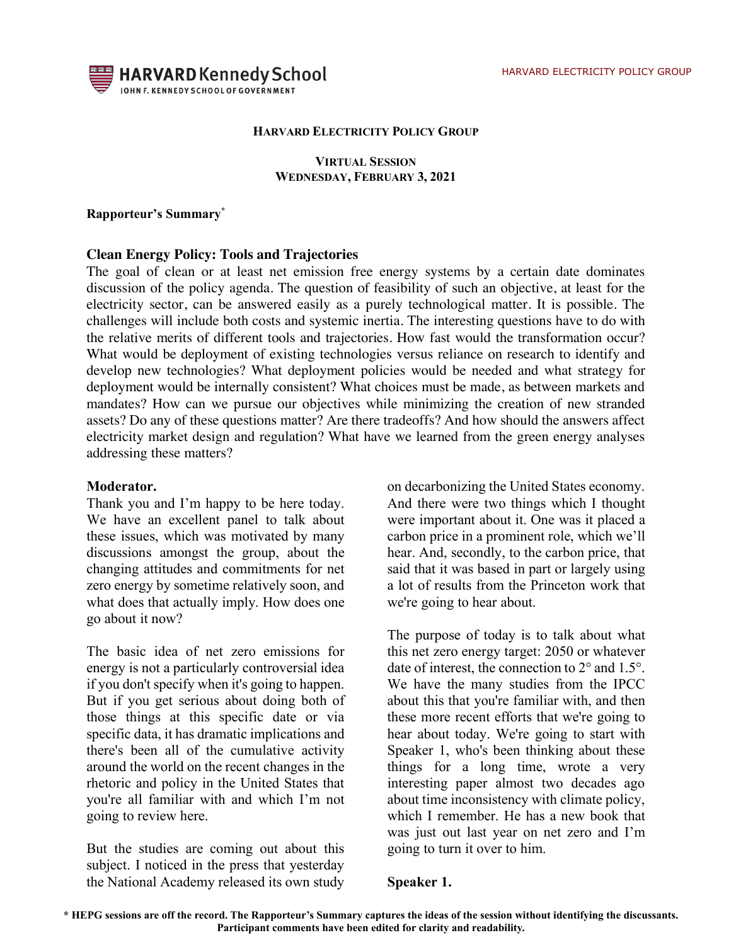

#### **HARVARD ELECTRICITY POLICY GROUP**

#### **VIRTUAL SESSION WEDNESDAY, FEBRUARY 3, 2021**

#### **Rapporteur's Summary\***

#### **Clean Energy Policy: Tools and Trajectories**

The goal of clean or at least net emission free energy systems by a certain date dominates discussion of the policy agenda. The question of feasibility of such an objective, at least for the electricity sector, can be answered easily as a purely technological matter. It is possible. The challenges will include both costs and systemic inertia. The interesting questions have to do with the relative merits of different tools and trajectories. How fast would the transformation occur? What would be deployment of existing technologies versus reliance on research to identify and develop new technologies? What deployment policies would be needed and what strategy for deployment would be internally consistent? What choices must be made, as between markets and mandates? How can we pursue our objectives while minimizing the creation of new stranded assets? Do any of these questions matter? Are there tradeoffs? And how should the answers affect electricity market design and regulation? What have we learned from the green energy analyses addressing these matters?

#### **Moderator.**

Thank you and I'm happy to be here today. We have an excellent panel to talk about these issues, which was motivated by many discussions amongst the group, about the changing attitudes and commitments for net zero energy by sometime relatively soon, and what does that actually imply. How does one go about it now?

The basic idea of net zero emissions for energy is not a particularly controversial idea if you don't specify when it's going to happen. But if you get serious about doing both of those things at this specific date or via specific data, it has dramatic implications and there's been all of the cumulative activity around the world on the recent changes in the rhetoric and policy in the United States that you're all familiar with and which I'm not going to review here.

But the studies are coming out about this subject. I noticed in the press that yesterday the National Academy released its own study

on decarbonizing the United States economy. And there were two things which I thought were important about it. One was it placed a carbon price in a prominent role, which we'll hear. And, secondly, to the carbon price, that said that it was based in part or largely using a lot of results from the Princeton work that we're going to hear about.

The purpose of today is to talk about what this net zero energy target: 2050 or whatever date of interest, the connection to 2° and 1.5°. We have the many studies from the IPCC about this that you're familiar with, and then these more recent efforts that we're going to hear about today. We're going to start with Speaker 1, who's been thinking about these things for a long time, wrote a very interesting paper almost two decades ago about time inconsistency with climate policy, which I remember. He has a new book that was just out last year on net zero and I'm going to turn it over to him.

#### **Speaker 1.**

**<sup>\*</sup> HEPG sessions are off the record. The Rapporteur's Summary captures the ideas of the session without identifying the discussants. Participant comments have been edited for clarity and readability.**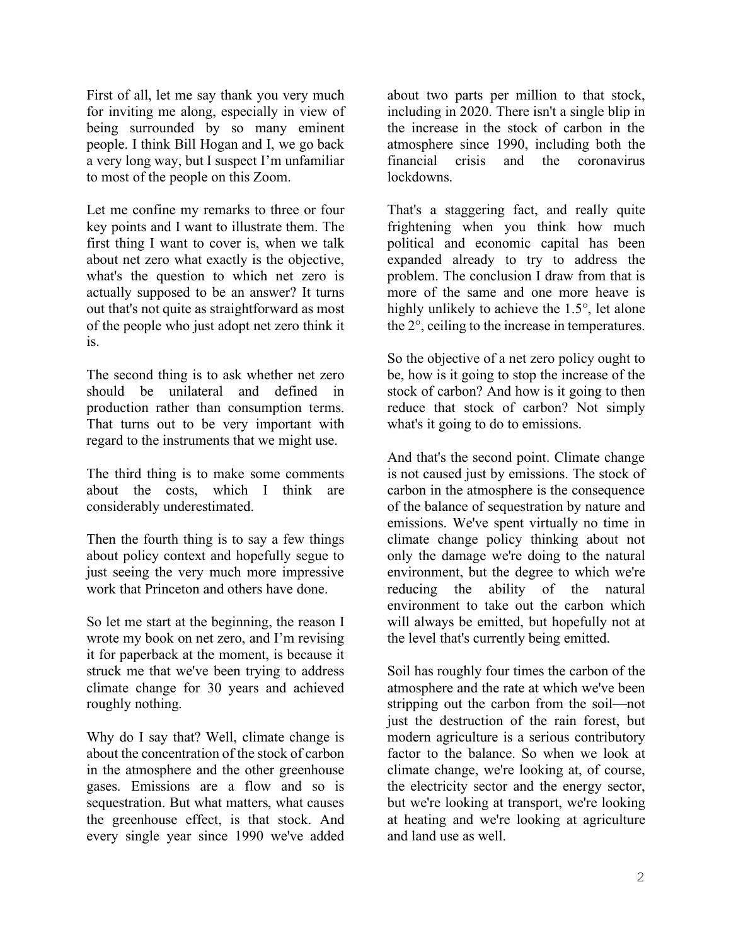First of all, let me say thank you very much for inviting me along, especially in view of being surrounded by so many eminent people. I think Bill Hogan and I, we go back a very long way, but I suspect I'm unfamiliar to most of the people on this Zoom.

Let me confine my remarks to three or four key points and I want to illustrate them. The first thing I want to cover is, when we talk about net zero what exactly is the objective, what's the question to which net zero is actually supposed to be an answer? It turns out that's not quite as straightforward as most of the people who just adopt net zero think it is.

The second thing is to ask whether net zero should be unilateral and defined in production rather than consumption terms. That turns out to be very important with regard to the instruments that we might use.

The third thing is to make some comments about the costs, which I think are considerably underestimated.

Then the fourth thing is to say a few things about policy context and hopefully segue to just seeing the very much more impressive work that Princeton and others have done.

So let me start at the beginning, the reason I wrote my book on net zero, and I'm revising it for paperback at the moment, is because it struck me that we've been trying to address climate change for 30 years and achieved roughly nothing.

Why do I say that? Well, climate change is about the concentration of the stock of carbon in the atmosphere and the other greenhouse gases. Emissions are a flow and so is sequestration. But what matters, what causes the greenhouse effect, is that stock. And every single year since 1990 we've added about two parts per million to that stock, including in 2020. There isn't a single blip in the increase in the stock of carbon in the atmosphere since 1990, including both the financial crisis and the coronavirus lockdowns.

That's a staggering fact, and really quite frightening when you think how much political and economic capital has been expanded already to try to address the problem. The conclusion I draw from that is more of the same and one more heave is highly unlikely to achieve the 1.5°, let alone the 2°, ceiling to the increase in temperatures.

So the objective of a net zero policy ought to be, how is it going to stop the increase of the stock of carbon? And how is it going to then reduce that stock of carbon? Not simply what's it going to do to emissions.

And that's the second point. Climate change is not caused just by emissions. The stock of carbon in the atmosphere is the consequence of the balance of sequestration by nature and emissions. We've spent virtually no time in climate change policy thinking about not only the damage we're doing to the natural environment, but the degree to which we're reducing the ability of the natural environment to take out the carbon which will always be emitted, but hopefully not at the level that's currently being emitted.

Soil has roughly four times the carbon of the atmosphere and the rate at which we've been stripping out the carbon from the soil—not just the destruction of the rain forest, but modern agriculture is a serious contributory factor to the balance. So when we look at climate change, we're looking at, of course, the electricity sector and the energy sector, but we're looking at transport, we're looking at heating and we're looking at agriculture and land use as well.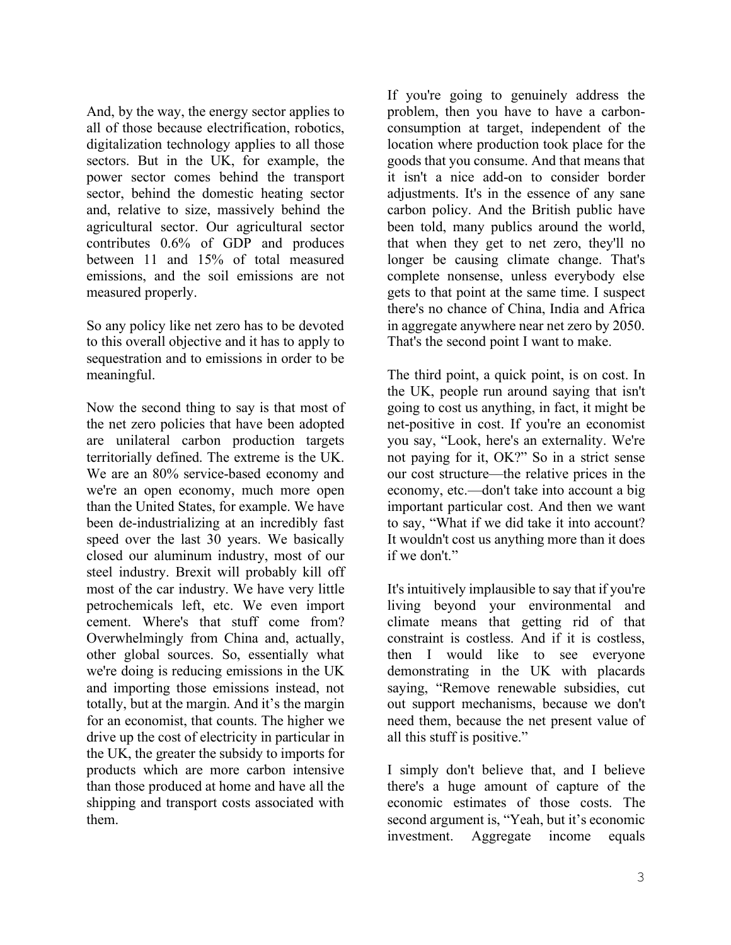And, by the way, the energy sector applies to all of those because electrification, robotics, digitalization technology applies to all those sectors. But in the UK, for example, the power sector comes behind the transport sector, behind the domestic heating sector and, relative to size, massively behind the agricultural sector. Our agricultural sector contributes 0.6% of GDP and produces between 11 and 15% of total measured emissions, and the soil emissions are not measured properly.

So any policy like net zero has to be devoted to this overall objective and it has to apply to sequestration and to emissions in order to be meaningful.

Now the second thing to say is that most of the net zero policies that have been adopted are unilateral carbon production targets territorially defined. The extreme is the UK. We are an 80% service-based economy and we're an open economy, much more open than the United States, for example. We have been de-industrializing at an incredibly fast speed over the last 30 years. We basically closed our aluminum industry, most of our steel industry. Brexit will probably kill off most of the car industry. We have very little petrochemicals left, etc. We even import cement. Where's that stuff come from? Overwhelmingly from China and, actually, other global sources. So, essentially what we're doing is reducing emissions in the UK and importing those emissions instead, not totally, but at the margin. And it's the margin for an economist, that counts. The higher we drive up the cost of electricity in particular in the UK, the greater the subsidy to imports for products which are more carbon intensive than those produced at home and have all the shipping and transport costs associated with them.

If you're going to genuinely address the problem, then you have to have a carbonconsumption at target, independent of the location where production took place for the goods that you consume. And that means that it isn't a nice add-on to consider border adjustments. It's in the essence of any sane carbon policy. And the British public have been told, many publics around the world, that when they get to net zero, they'll no longer be causing climate change. That's complete nonsense, unless everybody else gets to that point at the same time. I suspect there's no chance of China, India and Africa in aggregate anywhere near net zero by 2050. That's the second point I want to make.

The third point, a quick point, is on cost. In the UK, people run around saying that isn't going to cost us anything, in fact, it might be net-positive in cost. If you're an economist you say, "Look, here's an externality. We're not paying for it, OK?" So in a strict sense our cost structure—the relative prices in the economy, etc.—don't take into account a big important particular cost. And then we want to say, "What if we did take it into account? It wouldn't cost us anything more than it does if we don't."

It's intuitively implausible to say that if you're living beyond your environmental and climate means that getting rid of that constraint is costless. And if it is costless, then I would like to see everyone demonstrating in the UK with placards saying, "Remove renewable subsidies, cut out support mechanisms, because we don't need them, because the net present value of all this stuff is positive."

I simply don't believe that, and I believe there's a huge amount of capture of the economic estimates of those costs. The second argument is, "Yeah, but it's economic investment. Aggregate income equals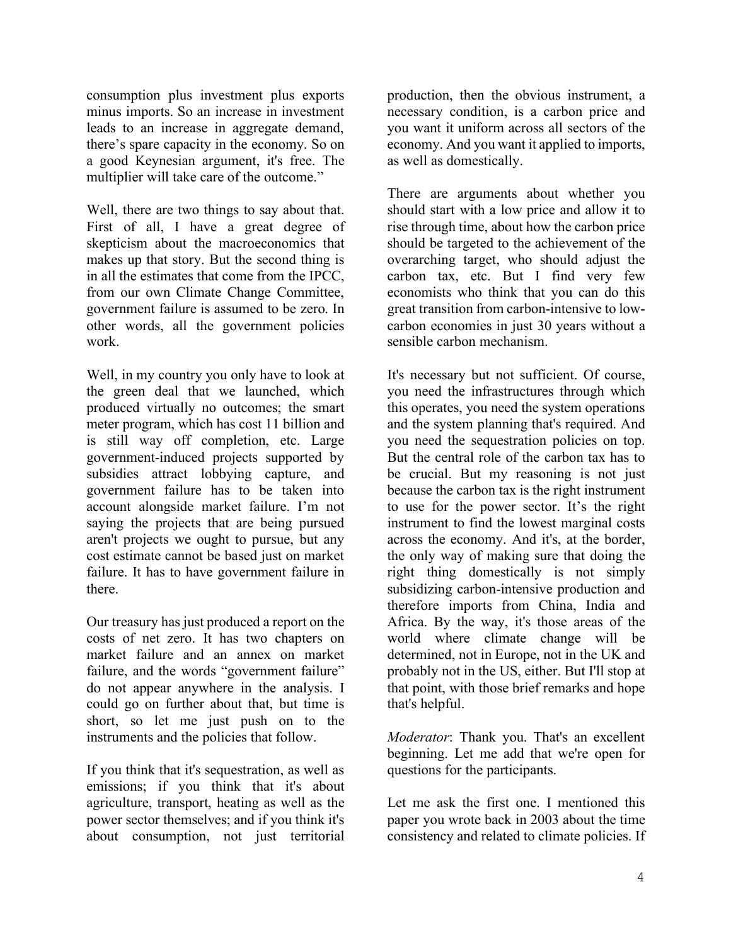consumption plus investment plus exports minus imports. So an increase in investment leads to an increase in aggregate demand, there's spare capacity in the economy. So on a good Keynesian argument, it's free. The multiplier will take care of the outcome."

Well, there are two things to say about that. First of all, I have a great degree of skepticism about the macroeconomics that makes up that story. But the second thing is in all the estimates that come from the IPCC, from our own Climate Change Committee, government failure is assumed to be zero. In other words, all the government policies work.

Well, in my country you only have to look at the green deal that we launched, which produced virtually no outcomes; the smart meter program, which has cost 11 billion and is still way off completion, etc. Large government-induced projects supported by subsidies attract lobbying capture, and government failure has to be taken into account alongside market failure. I'm not saying the projects that are being pursued aren't projects we ought to pursue, but any cost estimate cannot be based just on market failure. It has to have government failure in there.

Our treasury has just produced a report on the costs of net zero. It has two chapters on market failure and an annex on market failure, and the words "government failure" do not appear anywhere in the analysis. I could go on further about that, but time is short, so let me just push on to the instruments and the policies that follow.

If you think that it's sequestration, as well as emissions; if you think that it's about agriculture, transport, heating as well as the power sector themselves; and if you think it's about consumption, not just territorial production, then the obvious instrument, a necessary condition, is a carbon price and you want it uniform across all sectors of the economy. And you want it applied to imports, as well as domestically.

There are arguments about whether you should start with a low price and allow it to rise through time, about how the carbon price should be targeted to the achievement of the overarching target, who should adjust the carbon tax, etc. But I find very few economists who think that you can do this great transition from carbon-intensive to lowcarbon economies in just 30 years without a sensible carbon mechanism.

It's necessary but not sufficient. Of course, you need the infrastructures through which this operates, you need the system operations and the system planning that's required. And you need the sequestration policies on top. But the central role of the carbon tax has to be crucial. But my reasoning is not just because the carbon tax is the right instrument to use for the power sector. It's the right instrument to find the lowest marginal costs across the economy. And it's, at the border, the only way of making sure that doing the right thing domestically is not simply subsidizing carbon-intensive production and therefore imports from China, India and Africa. By the way, it's those areas of the world where climate change will be determined, not in Europe, not in the UK and probably not in the US, either. But I'll stop at that point, with those brief remarks and hope that's helpful.

*Moderator*: Thank you. That's an excellent beginning. Let me add that we're open for questions for the participants.

Let me ask the first one. I mentioned this paper you wrote back in 2003 about the time consistency and related to climate policies. If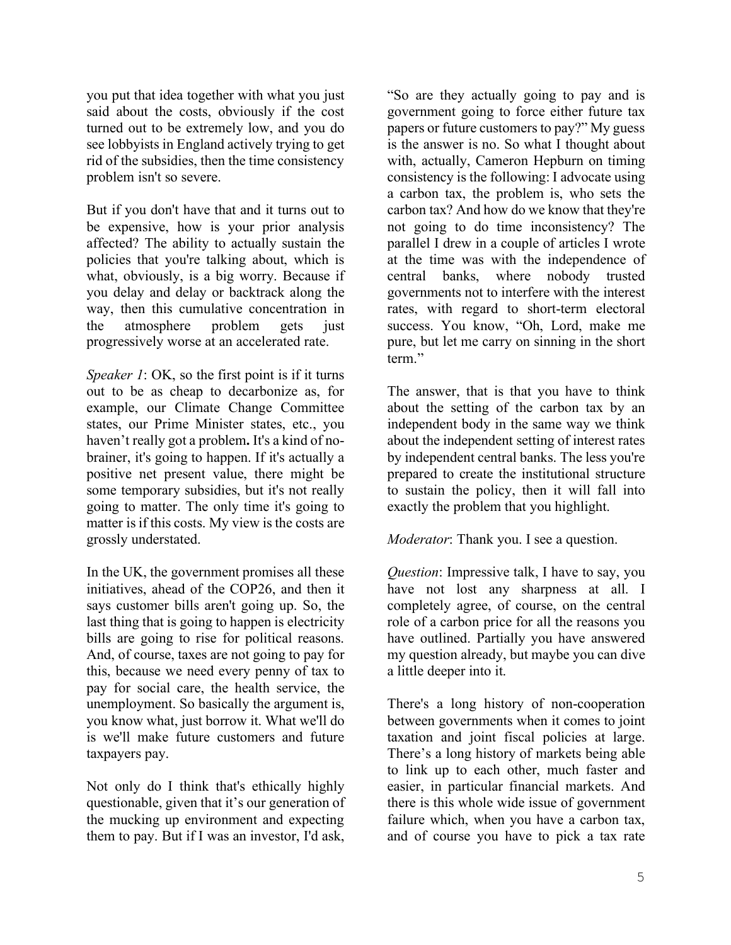you put that idea together with what you just said about the costs, obviously if the cost turned out to be extremely low, and you do see lobbyists in England actively trying to get rid of the subsidies, then the time consistency problem isn't so severe.

But if you don't have that and it turns out to be expensive, how is your prior analysis affected? The ability to actually sustain the policies that you're talking about, which is what, obviously, is a big worry. Because if you delay and delay or backtrack along the way, then this cumulative concentration in the atmosphere problem gets just progressively worse at an accelerated rate.

*Speaker 1*: OK, so the first point is if it turns out to be as cheap to decarbonize as, for example, our Climate Change Committee states, our Prime Minister states, etc., you haven't really got a problem**.** It's a kind of nobrainer, it's going to happen. If it's actually a positive net present value, there might be some temporary subsidies, but it's not really going to matter. The only time it's going to matter is if this costs. My view is the costs are grossly understated.

In the UK, the government promises all these initiatives, ahead of the COP26, and then it says customer bills aren't going up. So, the last thing that is going to happen is electricity bills are going to rise for political reasons. And, of course, taxes are not going to pay for this, because we need every penny of tax to pay for social care, the health service, the unemployment. So basically the argument is, you know what, just borrow it. What we'll do is we'll make future customers and future taxpayers pay.

Not only do I think that's ethically highly questionable, given that it's our generation of the mucking up environment and expecting them to pay. But if I was an investor, I'd ask,

"So are they actually going to pay and is government going to force either future tax papers or future customers to pay?" My guess is the answer is no. So what I thought about with, actually, Cameron Hepburn on timing consistency is the following: I advocate using a carbon tax, the problem is, who sets the carbon tax? And how do we know that they're not going to do time inconsistency? The parallel I drew in a couple of articles I wrote at the time was with the independence of central banks, where nobody trusted governments not to interfere with the interest rates, with regard to short-term electoral success. You know, "Oh, Lord, make me pure, but let me carry on sinning in the short term."

The answer, that is that you have to think about the setting of the carbon tax by an independent body in the same way we think about the independent setting of interest rates by independent central banks. The less you're prepared to create the institutional structure to sustain the policy, then it will fall into exactly the problem that you highlight.

*Moderator*: Thank you. I see a question.

*Question*: Impressive talk, I have to say, you have not lost any sharpness at all. I completely agree, of course, on the central role of a carbon price for all the reasons you have outlined. Partially you have answered my question already, but maybe you can dive a little deeper into it.

There's a long history of non-cooperation between governments when it comes to joint taxation and joint fiscal policies at large. There's a long history of markets being able to link up to each other, much faster and easier, in particular financial markets. And there is this whole wide issue of government failure which, when you have a carbon tax, and of course you have to pick a tax rate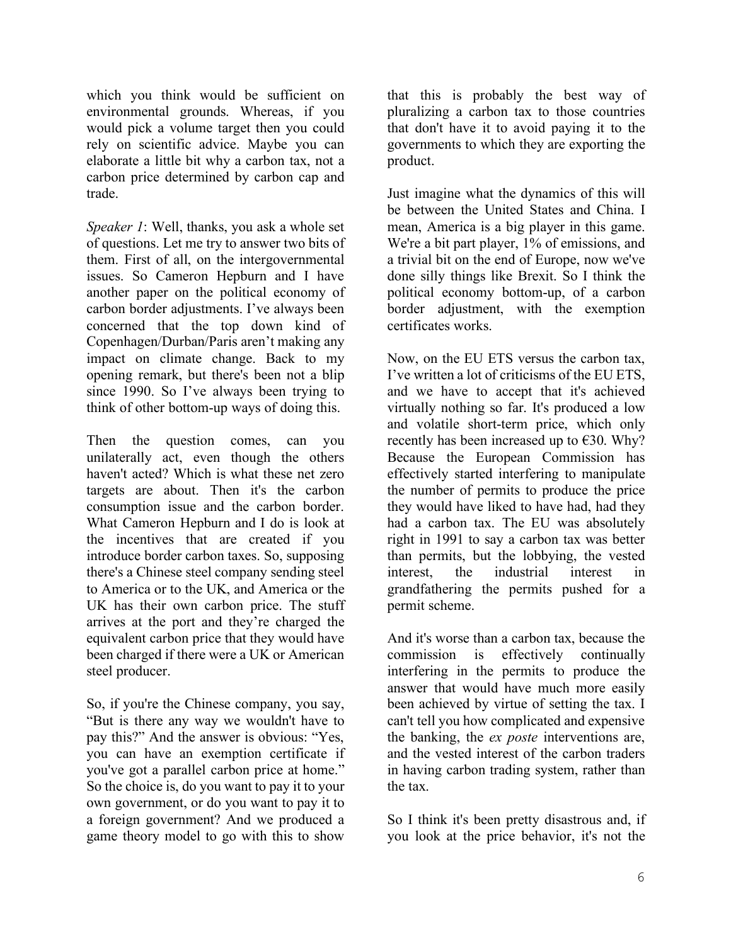which you think would be sufficient on environmental grounds. Whereas, if you would pick a volume target then you could rely on scientific advice. Maybe you can elaborate a little bit why a carbon tax, not a carbon price determined by carbon cap and trade.

*Speaker 1*: Well, thanks, you ask a whole set of questions. Let me try to answer two bits of them. First of all, on the intergovernmental issues. So Cameron Hepburn and I have another paper on the political economy of carbon border adjustments. I've always been concerned that the top down kind of Copenhagen/Durban/Paris aren't making any impact on climate change. Back to my opening remark, but there's been not a blip since 1990. So I've always been trying to think of other bottom-up ways of doing this.

Then the question comes, can you unilaterally act, even though the others haven't acted? Which is what these net zero targets are about. Then it's the carbon consumption issue and the carbon border. What Cameron Hepburn and I do is look at the incentives that are created if you introduce border carbon taxes. So, supposing there's a Chinese steel company sending steel to America or to the UK, and America or the UK has their own carbon price. The stuff arrives at the port and they're charged the equivalent carbon price that they would have been charged if there were a UK or American steel producer.

So, if you're the Chinese company, you say, "But is there any way we wouldn't have to pay this?" And the answer is obvious: "Yes, you can have an exemption certificate if you've got a parallel carbon price at home." So the choice is, do you want to pay it to your own government, or do you want to pay it to a foreign government? And we produced a game theory model to go with this to show

that this is probably the best way of pluralizing a carbon tax to those countries that don't have it to avoid paying it to the governments to which they are exporting the product.

Just imagine what the dynamics of this will be between the United States and China. I mean, America is a big player in this game. We're a bit part player, 1% of emissions, and a trivial bit on the end of Europe, now we've done silly things like Brexit. So I think the political economy bottom-up, of a carbon border adjustment, with the exemption certificates works.

Now, on the EU ETS versus the carbon tax, I've written a lot of criticisms of the EU ETS, and we have to accept that it's achieved virtually nothing so far. It's produced a low and volatile short-term price, which only recently has been increased up to  $\epsilon$ 30. Why? Because the European Commission has effectively started interfering to manipulate the number of permits to produce the price they would have liked to have had, had they had a carbon tax. The EU was absolutely right in 1991 to say a carbon tax was better than permits, but the lobbying, the vested interest, the industrial interest in grandfathering the permits pushed for a permit scheme.

And it's worse than a carbon tax, because the commission is effectively continually interfering in the permits to produce the answer that would have much more easily been achieved by virtue of setting the tax. I can't tell you how complicated and expensive the banking, the *ex poste* interventions are, and the vested interest of the carbon traders in having carbon trading system, rather than the tax.

So I think it's been pretty disastrous and, if you look at the price behavior, it's not the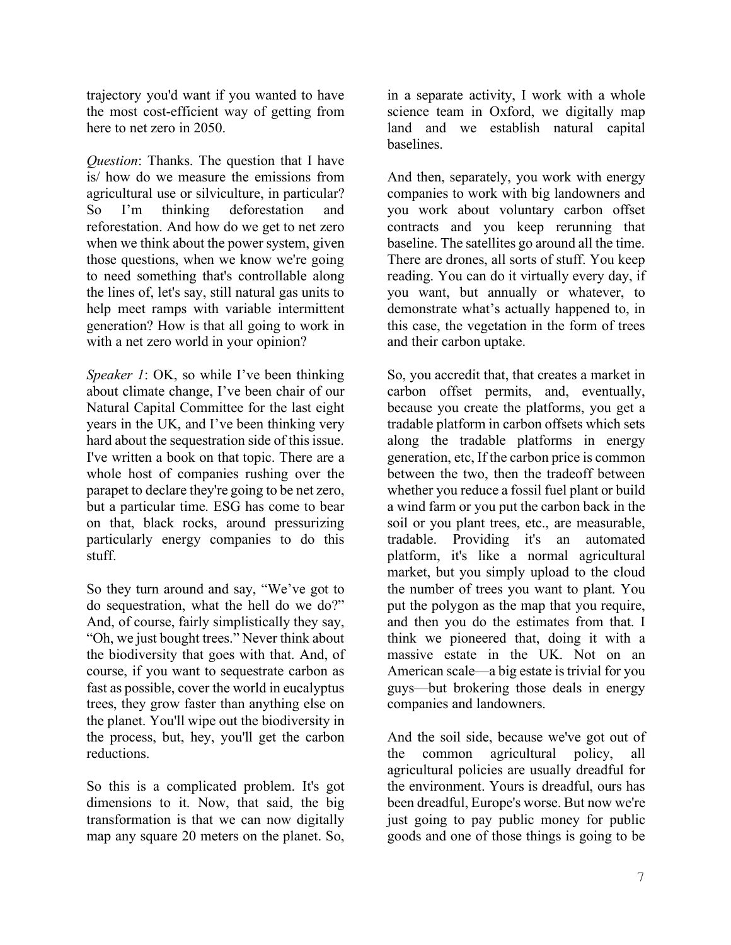trajectory you'd want if you wanted to have the most cost-efficient way of getting from here to net zero in 2050.

*Question*: Thanks. The question that I have is/ how do we measure the emissions from agricultural use or silviculture, in particular? So I'm thinking deforestation and reforestation. And how do we get to net zero when we think about the power system, given those questions, when we know we're going to need something that's controllable along the lines of, let's say, still natural gas units to help meet ramps with variable intermittent generation? How is that all going to work in with a net zero world in your opinion?

*Speaker 1*: OK, so while I've been thinking about climate change, I've been chair of our Natural Capital Committee for the last eight years in the UK, and I've been thinking very hard about the sequestration side of this issue. I've written a book on that topic. There are a whole host of companies rushing over the parapet to declare they're going to be net zero, but a particular time. ESG has come to bear on that, black rocks, around pressurizing particularly energy companies to do this stuff.

So they turn around and say, "We've got to do sequestration, what the hell do we do?" And, of course, fairly simplistically they say, "Oh, we just bought trees." Never think about the biodiversity that goes with that. And, of course, if you want to sequestrate carbon as fast as possible, cover the world in eucalyptus trees, they grow faster than anything else on the planet. You'll wipe out the biodiversity in the process, but, hey, you'll get the carbon reductions.

So this is a complicated problem. It's got dimensions to it. Now, that said, the big transformation is that we can now digitally map any square 20 meters on the planet. So,

in a separate activity, I work with a whole science team in Oxford, we digitally map land and we establish natural capital baselines.

And then, separately, you work with energy companies to work with big landowners and you work about voluntary carbon offset contracts and you keep rerunning that baseline. The satellites go around all the time. There are drones, all sorts of stuff. You keep reading. You can do it virtually every day, if you want, but annually or whatever, to demonstrate what's actually happened to, in this case, the vegetation in the form of trees and their carbon uptake.

So, you accredit that, that creates a market in carbon offset permits, and, eventually, because you create the platforms, you get a tradable platform in carbon offsets which sets along the tradable platforms in energy generation, etc, If the carbon price is common between the two, then the tradeoff between whether you reduce a fossil fuel plant or build a wind farm or you put the carbon back in the soil or you plant trees, etc., are measurable, tradable. Providing it's an automated platform, it's like a normal agricultural market, but you simply upload to the cloud the number of trees you want to plant. You put the polygon as the map that you require, and then you do the estimates from that. I think we pioneered that, doing it with a massive estate in the UK. Not on an American scale—a big estate is trivial for you guys—but brokering those deals in energy companies and landowners.

And the soil side, because we've got out of the common agricultural policy, all agricultural policies are usually dreadful for the environment. Yours is dreadful, ours has been dreadful, Europe's worse. But now we're just going to pay public money for public goods and one of those things is going to be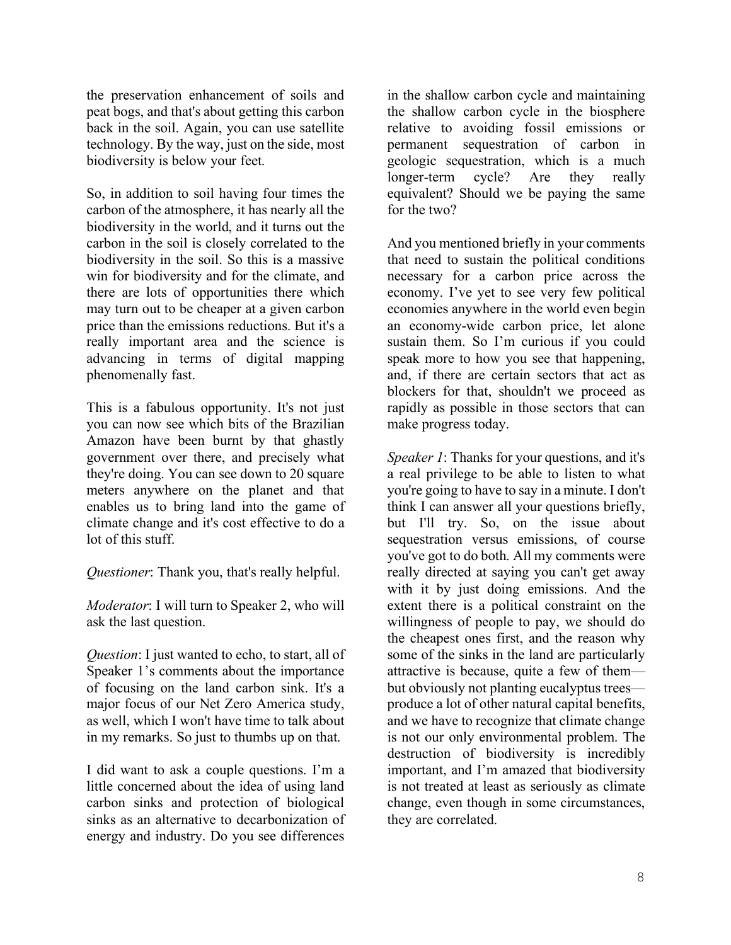the preservation enhancement of soils and peat bogs, and that's about getting this carbon back in the soil. Again, you can use satellite technology. By the way, just on the side, most biodiversity is below your feet.

So, in addition to soil having four times the carbon of the atmosphere, it has nearly all the biodiversity in the world, and it turns out the carbon in the soil is closely correlated to the biodiversity in the soil. So this is a massive win for biodiversity and for the climate, and there are lots of opportunities there which may turn out to be cheaper at a given carbon price than the emissions reductions. But it's a really important area and the science is advancing in terms of digital mapping phenomenally fast.

This is a fabulous opportunity. It's not just you can now see which bits of the Brazilian Amazon have been burnt by that ghastly government over there, and precisely what they're doing. You can see down to 20 square meters anywhere on the planet and that enables us to bring land into the game of climate change and it's cost effective to do a lot of this stuff.

*Questioner*: Thank you, that's really helpful.

*Moderator*: I will turn to Speaker 2, who will ask the last question.

*Question*: I just wanted to echo, to start, all of Speaker 1's comments about the importance of focusing on the land carbon sink. It's a major focus of our Net Zero America study, as well, which I won't have time to talk about in my remarks. So just to thumbs up on that.

I did want to ask a couple questions. I'm a little concerned about the idea of using land carbon sinks and protection of biological sinks as an alternative to decarbonization of energy and industry. Do you see differences

in the shallow carbon cycle and maintaining the shallow carbon cycle in the biosphere relative to avoiding fossil emissions or permanent sequestration of carbon in geologic sequestration, which is a much longer-term cycle? Are they really equivalent? Should we be paying the same for the two?

And you mentioned briefly in your comments that need to sustain the political conditions necessary for a carbon price across the economy. I've yet to see very few political economies anywhere in the world even begin an economy-wide carbon price, let alone sustain them. So I'm curious if you could speak more to how you see that happening, and, if there are certain sectors that act as blockers for that, shouldn't we proceed as rapidly as possible in those sectors that can make progress today.

*Speaker 1*: Thanks for your questions, and it's a real privilege to be able to listen to what you're going to have to say in a minute. I don't think I can answer all your questions briefly, but I'll try. So, on the issue about sequestration versus emissions, of course you've got to do both. All my comments were really directed at saying you can't get away with it by just doing emissions. And the extent there is a political constraint on the willingness of people to pay, we should do the cheapest ones first, and the reason why some of the sinks in the land are particularly attractive is because, quite a few of them but obviously not planting eucalyptus trees produce a lot of other natural capital benefits, and we have to recognize that climate change is not our only environmental problem. The destruction of biodiversity is incredibly important, and I'm amazed that biodiversity is not treated at least as seriously as climate change, even though in some circumstances, they are correlated.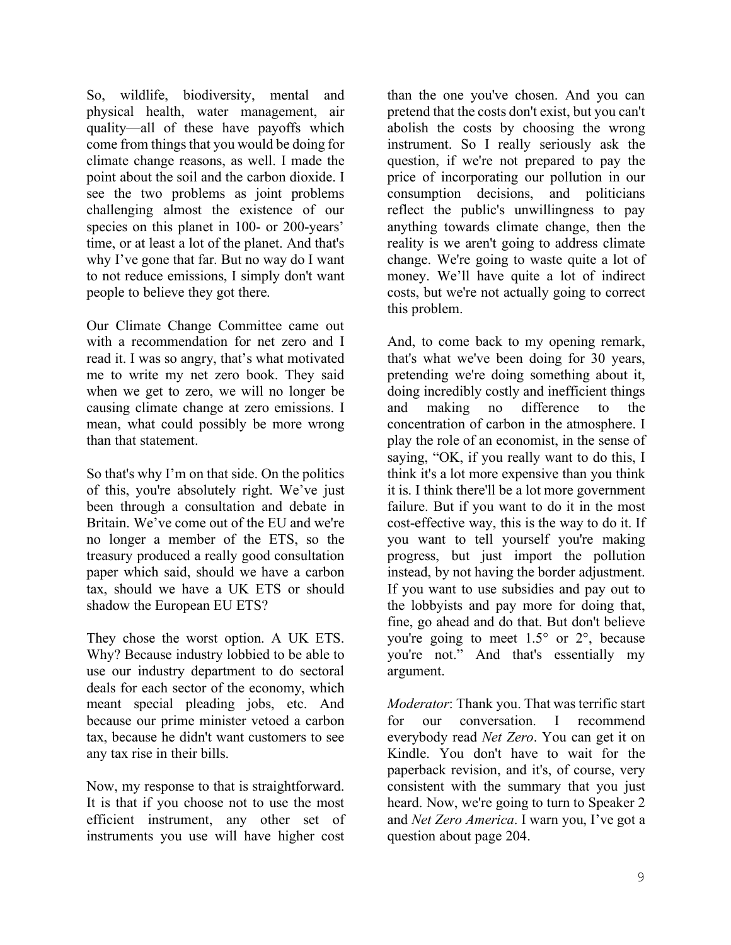So, wildlife, biodiversity, mental and physical health, water management, air quality—all of these have payoffs which come from things that you would be doing for climate change reasons, as well. I made the point about the soil and the carbon dioxide. I see the two problems as joint problems challenging almost the existence of our species on this planet in 100- or 200-years' time, or at least a lot of the planet. And that's why I've gone that far. But no way do I want to not reduce emissions, I simply don't want people to believe they got there.

Our Climate Change Committee came out with a recommendation for net zero and I read it. I was so angry, that's what motivated me to write my net zero book. They said when we get to zero, we will no longer be causing climate change at zero emissions. I mean, what could possibly be more wrong than that statement.

So that's why I'm on that side. On the politics of this, you're absolutely right. We've just been through a consultation and debate in Britain. We've come out of the EU and we're no longer a member of the ETS, so the treasury produced a really good consultation paper which said, should we have a carbon tax, should we have a UK ETS or should shadow the European EU ETS?

They chose the worst option. A UK ETS. Why? Because industry lobbied to be able to use our industry department to do sectoral deals for each sector of the economy, which meant special pleading jobs, etc. And because our prime minister vetoed a carbon tax, because he didn't want customers to see any tax rise in their bills.

Now, my response to that is straightforward. It is that if you choose not to use the most efficient instrument, any other set of instruments you use will have higher cost than the one you've chosen. And you can pretend that the costs don't exist, but you can't abolish the costs by choosing the wrong instrument. So I really seriously ask the question, if we're not prepared to pay the price of incorporating our pollution in our consumption decisions, and politicians reflect the public's unwillingness to pay anything towards climate change, then the reality is we aren't going to address climate change. We're going to waste quite a lot of money. We'll have quite a lot of indirect costs, but we're not actually going to correct this problem.

And, to come back to my opening remark, that's what we've been doing for 30 years, pretending we're doing something about it, doing incredibly costly and inefficient things and making no difference to the concentration of carbon in the atmosphere. I play the role of an economist, in the sense of saying, "OK, if you really want to do this, I think it's a lot more expensive than you think it is. I think there'll be a lot more government failure. But if you want to do it in the most cost-effective way, this is the way to do it. If you want to tell yourself you're making progress, but just import the pollution instead, by not having the border adjustment. If you want to use subsidies and pay out to the lobbyists and pay more for doing that, fine, go ahead and do that. But don't believe you're going to meet 1.5° or 2°, because you're not." And that's essentially my argument.

*Moderator*: Thank you. That was terrific start for our conversation. I recommend everybody read *Net Zero*. You can get it on Kindle. You don't have to wait for the paperback revision, and it's, of course, very consistent with the summary that you just heard. Now, we're going to turn to Speaker 2 and *Net Zero America*. I warn you, I've got a question about page 204.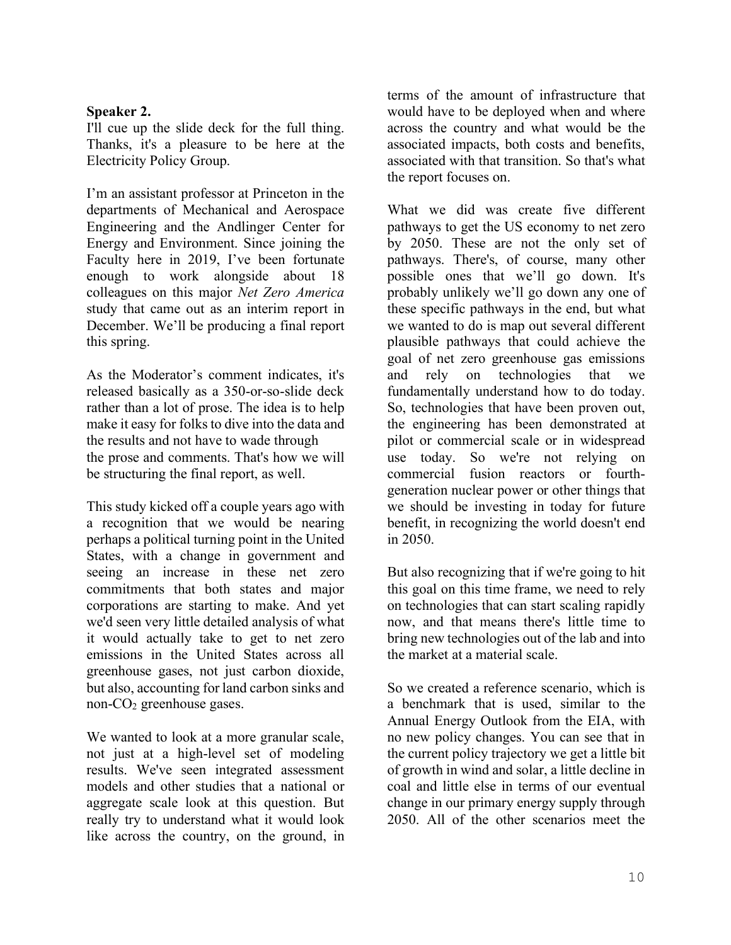### **Speaker 2.**

I'll cue up the slide deck for the full thing. Thanks, it's a pleasure to be here at the Electricity Policy Group.

I'm an assistant professor at Princeton in the departments of Mechanical and Aerospace Engineering and the Andlinger Center for Energy and Environment. Since joining the Faculty here in 2019, I've been fortunate enough to work alongside about 18 colleagues on this major *Net Zero America* study that came out as an interim report in December. We'll be producing a final report this spring.

As the Moderator's comment indicates, it's released basically as a 350-or-so-slide deck rather than a lot of prose. The idea is to help make it easy for folks to dive into the data and the results and not have to wade through the prose and comments. That's how we will be structuring the final report, as well.

This study kicked off a couple years ago with a recognition that we would be nearing perhaps a political turning point in the United States, with a change in government and seeing an increase in these net zero commitments that both states and major corporations are starting to make. And yet we'd seen very little detailed analysis of what it would actually take to get to net zero emissions in the United States across all greenhouse gases, not just carbon dioxide, but also, accounting for land carbon sinks and non-CO2 greenhouse gases.

We wanted to look at a more granular scale, not just at a high-level set of modeling results. We've seen integrated assessment models and other studies that a national or aggregate scale look at this question. But really try to understand what it would look like across the country, on the ground, in terms of the amount of infrastructure that would have to be deployed when and where across the country and what would be the associated impacts, both costs and benefits, associated with that transition. So that's what the report focuses on.

What we did was create five different pathways to get the US economy to net zero by 2050. These are not the only set of pathways. There's, of course, many other possible ones that we'll go down. It's probably unlikely we'll go down any one of these specific pathways in the end, but what we wanted to do is map out several different plausible pathways that could achieve the goal of net zero greenhouse gas emissions and rely on technologies that we fundamentally understand how to do today. So, technologies that have been proven out, the engineering has been demonstrated at pilot or commercial scale or in widespread use today. So we're not relying on commercial fusion reactors or fourthgeneration nuclear power or other things that we should be investing in today for future benefit, in recognizing the world doesn't end in 2050.

But also recognizing that if we're going to hit this goal on this time frame, we need to rely on technologies that can start scaling rapidly now, and that means there's little time to bring new technologies out of the lab and into the market at a material scale.

So we created a reference scenario, which is a benchmark that is used, similar to the Annual Energy Outlook from the EIA, with no new policy changes. You can see that in the current policy trajectory we get a little bit of growth in wind and solar, a little decline in coal and little else in terms of our eventual change in our primary energy supply through 2050. All of the other scenarios meet the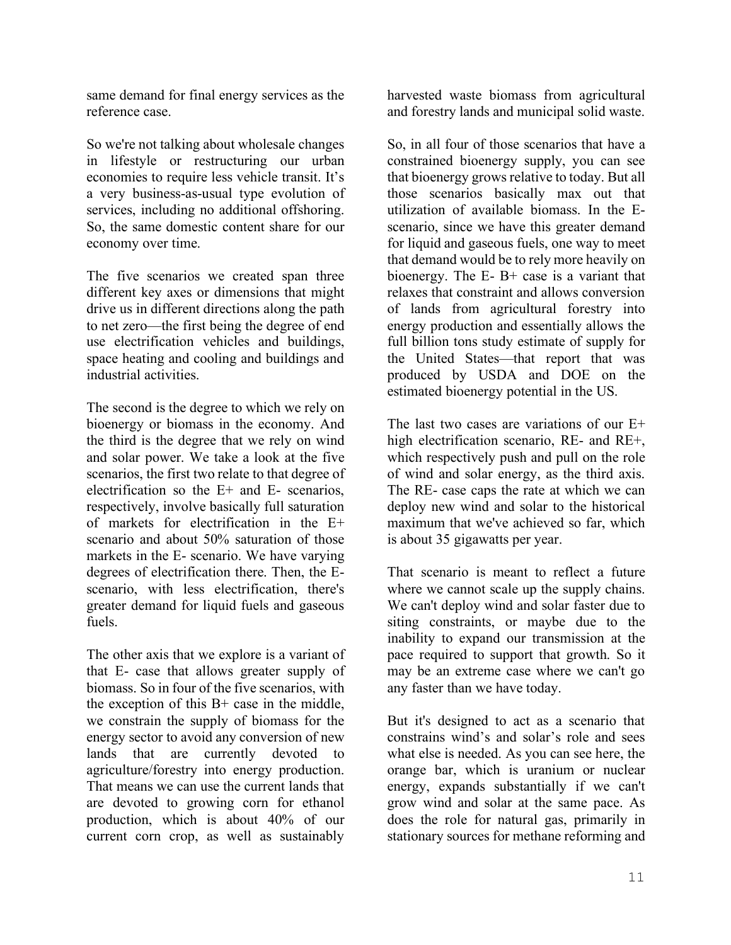same demand for final energy services as the reference case.

So we're not talking about wholesale changes in lifestyle or restructuring our urban economies to require less vehicle transit. It's a very business-as-usual type evolution of services, including no additional offshoring. So, the same domestic content share for our economy over time.

The five scenarios we created span three different key axes or dimensions that might drive us in different directions along the path to net zero—the first being the degree of end use electrification vehicles and buildings, space heating and cooling and buildings and industrial activities.

The second is the degree to which we rely on bioenergy or biomass in the economy. And the third is the degree that we rely on wind and solar power. We take a look at the five scenarios, the first two relate to that degree of electrification so the E+ and E- scenarios, respectively, involve basically full saturation of markets for electrification in the E+ scenario and about 50% saturation of those markets in the E- scenario. We have varying degrees of electrification there. Then, the Escenario, with less electrification, there's greater demand for liquid fuels and gaseous fuels.

The other axis that we explore is a variant of that E- case that allows greater supply of biomass. So in four of the five scenarios, with the exception of this B+ case in the middle, we constrain the supply of biomass for the energy sector to avoid any conversion of new lands that are currently devoted to agriculture/forestry into energy production. That means we can use the current lands that are devoted to growing corn for ethanol production, which is about 40% of our current corn crop, as well as sustainably

harvested waste biomass from agricultural and forestry lands and municipal solid waste.

So, in all four of those scenarios that have a constrained bioenergy supply, you can see that bioenergy grows relative to today. But all those scenarios basically max out that utilization of available biomass. In the Escenario, since we have this greater demand for liquid and gaseous fuels, one way to meet that demand would be to rely more heavily on bioenergy. The E- B+ case is a variant that relaxes that constraint and allows conversion of lands from agricultural forestry into energy production and essentially allows the full billion tons study estimate of supply for the United States—that report that was produced by USDA and DOE on the estimated bioenergy potential in the US.

The last two cases are variations of our E+ high electrification scenario, RE- and RE+, which respectively push and pull on the role of wind and solar energy, as the third axis. The RE- case caps the rate at which we can deploy new wind and solar to the historical maximum that we've achieved so far, which is about 35 gigawatts per year.

That scenario is meant to reflect a future where we cannot scale up the supply chains. We can't deploy wind and solar faster due to siting constraints, or maybe due to the inability to expand our transmission at the pace required to support that growth. So it may be an extreme case where we can't go any faster than we have today.

But it's designed to act as a scenario that constrains wind's and solar's role and sees what else is needed. As you can see here, the orange bar, which is uranium or nuclear energy, expands substantially if we can't grow wind and solar at the same pace. As does the role for natural gas, primarily in stationary sources for methane reforming and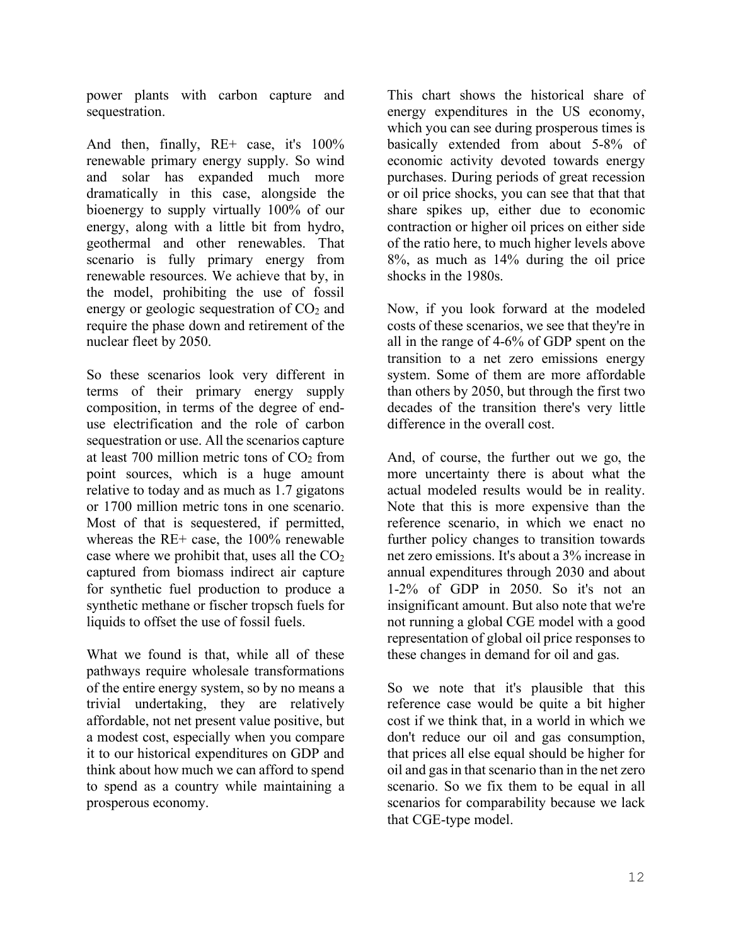power plants with carbon capture and sequestration.

And then, finally, RE+ case, it's 100% renewable primary energy supply. So wind and solar has expanded much more dramatically in this case, alongside the bioenergy to supply virtually 100% of our energy, along with a little bit from hydro, geothermal and other renewables. That scenario is fully primary energy from renewable resources. We achieve that by, in the model, prohibiting the use of fossil energy or geologic sequestration of  $CO<sub>2</sub>$  and require the phase down and retirement of the nuclear fleet by 2050.

So these scenarios look very different in terms of their primary energy supply composition, in terms of the degree of enduse electrification and the role of carbon sequestration or use. All the scenarios capture at least 700 million metric tons of  $CO<sub>2</sub>$  from point sources, which is a huge amount relative to today and as much as 1.7 gigatons or 1700 million metric tons in one scenario. Most of that is sequestered, if permitted, whereas the RE+ case, the 100% renewable case where we prohibit that, uses all the  $CO<sub>2</sub>$ captured from biomass indirect air capture for synthetic fuel production to produce a synthetic methane or fischer tropsch fuels for liquids to offset the use of fossil fuels.

What we found is that, while all of these pathways require wholesale transformations of the entire energy system, so by no means a trivial undertaking, they are relatively affordable, not net present value positive, but a modest cost, especially when you compare it to our historical expenditures on GDP and think about how much we can afford to spend to spend as a country while maintaining a prosperous economy.

This chart shows the historical share of energy expenditures in the US economy, which you can see during prosperous times is basically extended from about 5-8% of economic activity devoted towards energy purchases. During periods of great recession or oil price shocks, you can see that that that share spikes up, either due to economic contraction or higher oil prices on either side of the ratio here, to much higher levels above 8%, as much as 14% during the oil price shocks in the 1980s.

Now, if you look forward at the modeled costs of these scenarios, we see that they're in all in the range of 4-6% of GDP spent on the transition to a net zero emissions energy system. Some of them are more affordable than others by 2050, but through the first two decades of the transition there's very little difference in the overall cost.

And, of course, the further out we go, the more uncertainty there is about what the actual modeled results would be in reality. Note that this is more expensive than the reference scenario, in which we enact no further policy changes to transition towards net zero emissions. It's about a 3% increase in annual expenditures through 2030 and about 1-2% of GDP in 2050. So it's not an insignificant amount. But also note that we're not running a global CGE model with a good representation of global oil price responses to these changes in demand for oil and gas.

So we note that it's plausible that this reference case would be quite a bit higher cost if we think that, in a world in which we don't reduce our oil and gas consumption, that prices all else equal should be higher for oil and gasin that scenario than in the net zero scenario. So we fix them to be equal in all scenarios for comparability because we lack that CGE-type model.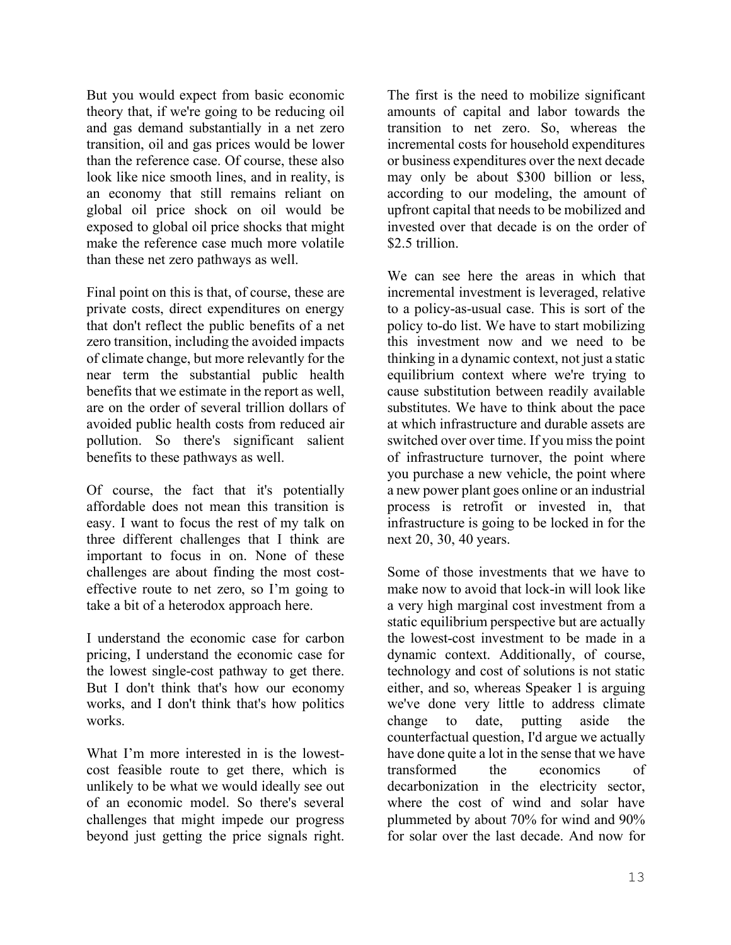But you would expect from basic economic theory that, if we're going to be reducing oil and gas demand substantially in a net zero transition, oil and gas prices would be lower than the reference case. Of course, these also look like nice smooth lines, and in reality, is an economy that still remains reliant on global oil price shock on oil would be exposed to global oil price shocks that might make the reference case much more volatile than these net zero pathways as well.

Final point on this is that, of course, these are private costs, direct expenditures on energy that don't reflect the public benefits of a net zero transition, including the avoided impacts of climate change, but more relevantly for the near term the substantial public health benefits that we estimate in the report as well, are on the order of several trillion dollars of avoided public health costs from reduced air pollution. So there's significant salient benefits to these pathways as well.

Of course, the fact that it's potentially affordable does not mean this transition is easy. I want to focus the rest of my talk on three different challenges that I think are important to focus in on. None of these challenges are about finding the most costeffective route to net zero, so I'm going to take a bit of a heterodox approach here.

I understand the economic case for carbon pricing, I understand the economic case for the lowest single-cost pathway to get there. But I don't think that's how our economy works, and I don't think that's how politics works.

What I'm more interested in is the lowestcost feasible route to get there, which is unlikely to be what we would ideally see out of an economic model. So there's several challenges that might impede our progress beyond just getting the price signals right.

The first is the need to mobilize significant amounts of capital and labor towards the transition to net zero. So, whereas the incremental costs for household expenditures or business expenditures over the next decade may only be about \$300 billion or less, according to our modeling, the amount of upfront capital that needs to be mobilized and invested over that decade is on the order of \$2.5 trillion

We can see here the areas in which that incremental investment is leveraged, relative to a policy-as-usual case. This is sort of the policy to-do list. We have to start mobilizing this investment now and we need to be thinking in a dynamic context, not just a static equilibrium context where we're trying to cause substitution between readily available substitutes. We have to think about the pace at which infrastructure and durable assets are switched over over time. If you miss the point of infrastructure turnover, the point where you purchase a new vehicle, the point where a new power plant goes online or an industrial process is retrofit or invested in, that infrastructure is going to be locked in for the next 20, 30, 40 years.

Some of those investments that we have to make now to avoid that lock-in will look like a very high marginal cost investment from a static equilibrium perspective but are actually the lowest-cost investment to be made in a dynamic context. Additionally, of course, technology and cost of solutions is not static either, and so, whereas Speaker 1 is arguing we've done very little to address climate change to date, putting aside the counterfactual question, I'd argue we actually have done quite a lot in the sense that we have transformed the economics of decarbonization in the electricity sector, where the cost of wind and solar have plummeted by about 70% for wind and 90% for solar over the last decade. And now for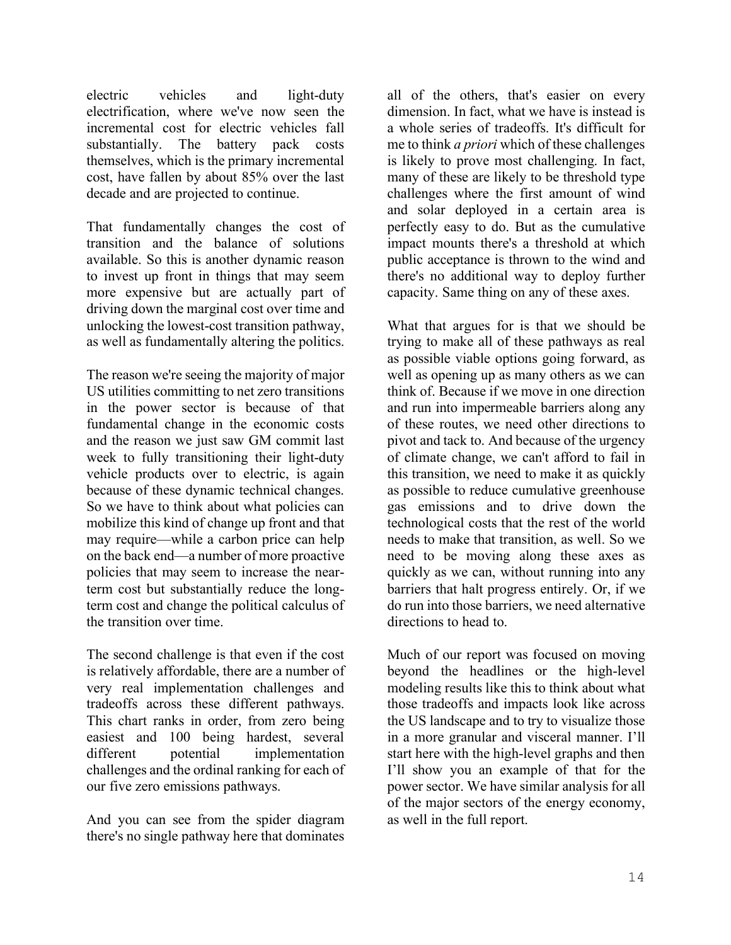electric vehicles and light-duty electrification, where we've now seen the incremental cost for electric vehicles fall substantially. The battery pack costs themselves, which is the primary incremental cost, have fallen by about 85% over the last decade and are projected to continue.

That fundamentally changes the cost of transition and the balance of solutions available. So this is another dynamic reason to invest up front in things that may seem more expensive but are actually part of driving down the marginal cost over time and unlocking the lowest-cost transition pathway, as well as fundamentally altering the politics.

The reason we're seeing the majority of major US utilities committing to net zero transitions in the power sector is because of that fundamental change in the economic costs and the reason we just saw GM commit last week to fully transitioning their light-duty vehicle products over to electric, is again because of these dynamic technical changes. So we have to think about what policies can mobilize this kind of change up front and that may require—while a carbon price can help on the back end—a number of more proactive policies that may seem to increase the nearterm cost but substantially reduce the longterm cost and change the political calculus of the transition over time.

The second challenge is that even if the cost is relatively affordable, there are a number of very real implementation challenges and tradeoffs across these different pathways. This chart ranks in order, from zero being easiest and 100 being hardest, several different potential implementation challenges and the ordinal ranking for each of our five zero emissions pathways.

And you can see from the spider diagram there's no single pathway here that dominates all of the others, that's easier on every dimension. In fact, what we have is instead is a whole series of tradeoffs. It's difficult for me to think *a priori* which of these challenges is likely to prove most challenging. In fact, many of these are likely to be threshold type challenges where the first amount of wind and solar deployed in a certain area is perfectly easy to do. But as the cumulative impact mounts there's a threshold at which public acceptance is thrown to the wind and there's no additional way to deploy further capacity. Same thing on any of these axes.

What that argues for is that we should be trying to make all of these pathways as real as possible viable options going forward, as well as opening up as many others as we can think of. Because if we move in one direction and run into impermeable barriers along any of these routes, we need other directions to pivot and tack to. And because of the urgency of climate change, we can't afford to fail in this transition, we need to make it as quickly as possible to reduce cumulative greenhouse gas emissions and to drive down the technological costs that the rest of the world needs to make that transition, as well. So we need to be moving along these axes as quickly as we can, without running into any barriers that halt progress entirely. Or, if we do run into those barriers, we need alternative directions to head to.

Much of our report was focused on moving beyond the headlines or the high-level modeling results like this to think about what those tradeoffs and impacts look like across the US landscape and to try to visualize those in a more granular and visceral manner. I'll start here with the high-level graphs and then I'll show you an example of that for the power sector. We have similar analysis for all of the major sectors of the energy economy, as well in the full report.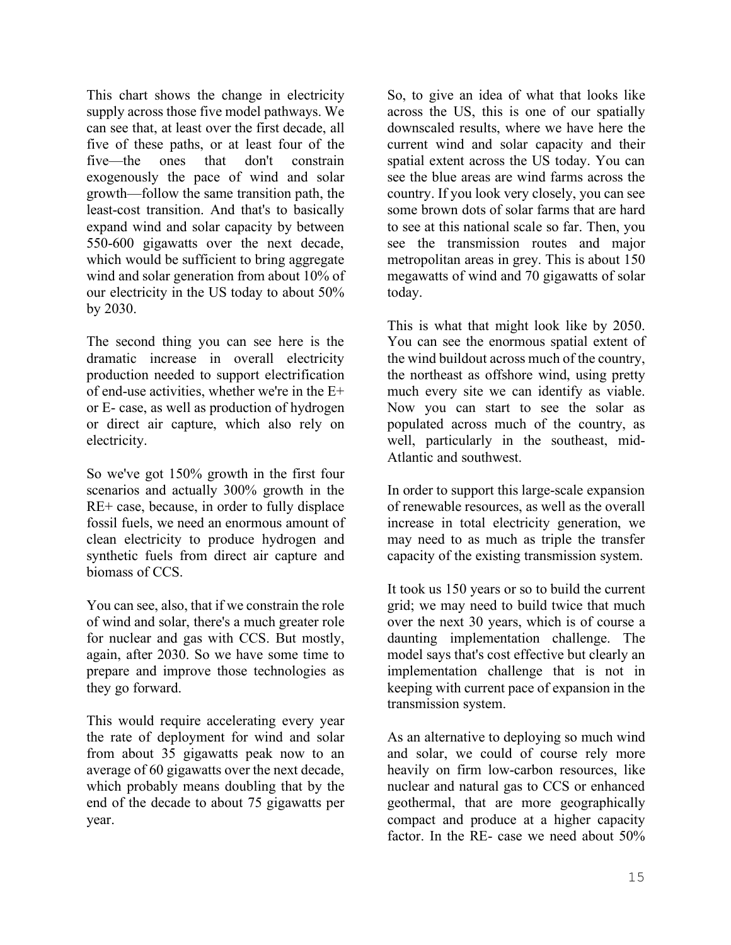This chart shows the change in electricity supply across those five model pathways. We can see that, at least over the first decade, all five of these paths, or at least four of the five—the ones that don't constrain exogenously the pace of wind and solar growth—follow the same transition path, the least-cost transition. And that's to basically expand wind and solar capacity by between 550-600 gigawatts over the next decade, which would be sufficient to bring aggregate wind and solar generation from about 10% of our electricity in the US today to about 50% by 2030.

The second thing you can see here is the dramatic increase in overall electricity production needed to support electrification of end-use activities, whether we're in the E+ or E- case, as well as production of hydrogen or direct air capture, which also rely on electricity.

So we've got 150% growth in the first four scenarios and actually 300% growth in the RE+ case, because, in order to fully displace fossil fuels, we need an enormous amount of clean electricity to produce hydrogen and synthetic fuels from direct air capture and biomass of CCS.

You can see, also, that if we constrain the role of wind and solar, there's a much greater role for nuclear and gas with CCS. But mostly, again, after 2030. So we have some time to prepare and improve those technologies as they go forward.

This would require accelerating every year the rate of deployment for wind and solar from about 35 gigawatts peak now to an average of 60 gigawatts over the next decade, which probably means doubling that by the end of the decade to about 75 gigawatts per year.

So, to give an idea of what that looks like across the US, this is one of our spatially downscaled results, where we have here the current wind and solar capacity and their spatial extent across the US today. You can see the blue areas are wind farms across the country. If you look very closely, you can see some brown dots of solar farms that are hard to see at this national scale so far. Then, you see the transmission routes and major metropolitan areas in grey. This is about 150 megawatts of wind and 70 gigawatts of solar today.

This is what that might look like by 2050. You can see the enormous spatial extent of the wind buildout across much of the country, the northeast as offshore wind, using pretty much every site we can identify as viable. Now you can start to see the solar as populated across much of the country, as well, particularly in the southeast, mid-Atlantic and southwest.

In order to support this large-scale expansion of renewable resources, as well as the overall increase in total electricity generation, we may need to as much as triple the transfer capacity of the existing transmission system.

It took us 150 years or so to build the current grid; we may need to build twice that much over the next 30 years, which is of course a daunting implementation challenge. The model says that's cost effective but clearly an implementation challenge that is not in keeping with current pace of expansion in the transmission system.

As an alternative to deploying so much wind and solar, we could of course rely more heavily on firm low-carbon resources, like nuclear and natural gas to CCS or enhanced geothermal, that are more geographically compact and produce at a higher capacity factor. In the RE- case we need about 50%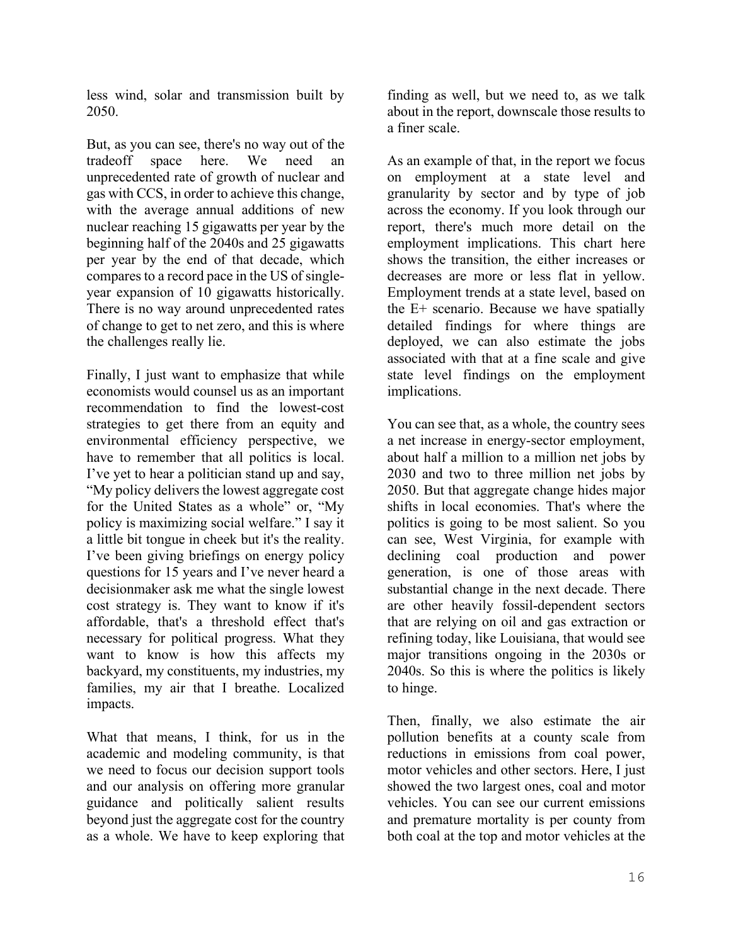less wind, solar and transmission built by 2050.

But, as you can see, there's no way out of the tradeoff space here. We need an unprecedented rate of growth of nuclear and gas with CCS, in order to achieve this change, with the average annual additions of new nuclear reaching 15 gigawatts per year by the beginning half of the 2040s and 25 gigawatts per year by the end of that decade, which compares to a record pace in the US of singleyear expansion of 10 gigawatts historically. There is no way around unprecedented rates of change to get to net zero, and this is where the challenges really lie.

Finally, I just want to emphasize that while economists would counsel us as an important recommendation to find the lowest-cost strategies to get there from an equity and environmental efficiency perspective, we have to remember that all politics is local. I've yet to hear a politician stand up and say, "My policy delivers the lowest aggregate cost for the United States as a whole" or, "My policy is maximizing social welfare." I say it a little bit tongue in cheek but it's the reality. I've been giving briefings on energy policy questions for 15 years and I've never heard a decisionmaker ask me what the single lowest cost strategy is. They want to know if it's affordable, that's a threshold effect that's necessary for political progress. What they want to know is how this affects my backyard, my constituents, my industries, my families, my air that I breathe. Localized impacts.

What that means, I think, for us in the academic and modeling community, is that we need to focus our decision support tools and our analysis on offering more granular guidance and politically salient results beyond just the aggregate cost for the country as a whole. We have to keep exploring that finding as well, but we need to, as we talk about in the report, downscale those results to a finer scale.

As an example of that, in the report we focus on employment at a state level and granularity by sector and by type of job across the economy. If you look through our report, there's much more detail on the employment implications. This chart here shows the transition, the either increases or decreases are more or less flat in yellow. Employment trends at a state level, based on the E+ scenario. Because we have spatially detailed findings for where things are deployed, we can also estimate the jobs associated with that at a fine scale and give state level findings on the employment implications.

You can see that, as a whole, the country sees a net increase in energy-sector employment, about half a million to a million net jobs by 2030 and two to three million net jobs by 2050. But that aggregate change hides major shifts in local economies. That's where the politics is going to be most salient. So you can see, West Virginia, for example with declining coal production and power generation, is one of those areas with substantial change in the next decade. There are other heavily fossil-dependent sectors that are relying on oil and gas extraction or refining today, like Louisiana, that would see major transitions ongoing in the 2030s or 2040s. So this is where the politics is likely to hinge.

Then, finally, we also estimate the air pollution benefits at a county scale from reductions in emissions from coal power, motor vehicles and other sectors. Here, I just showed the two largest ones, coal and motor vehicles. You can see our current emissions and premature mortality is per county from both coal at the top and motor vehicles at the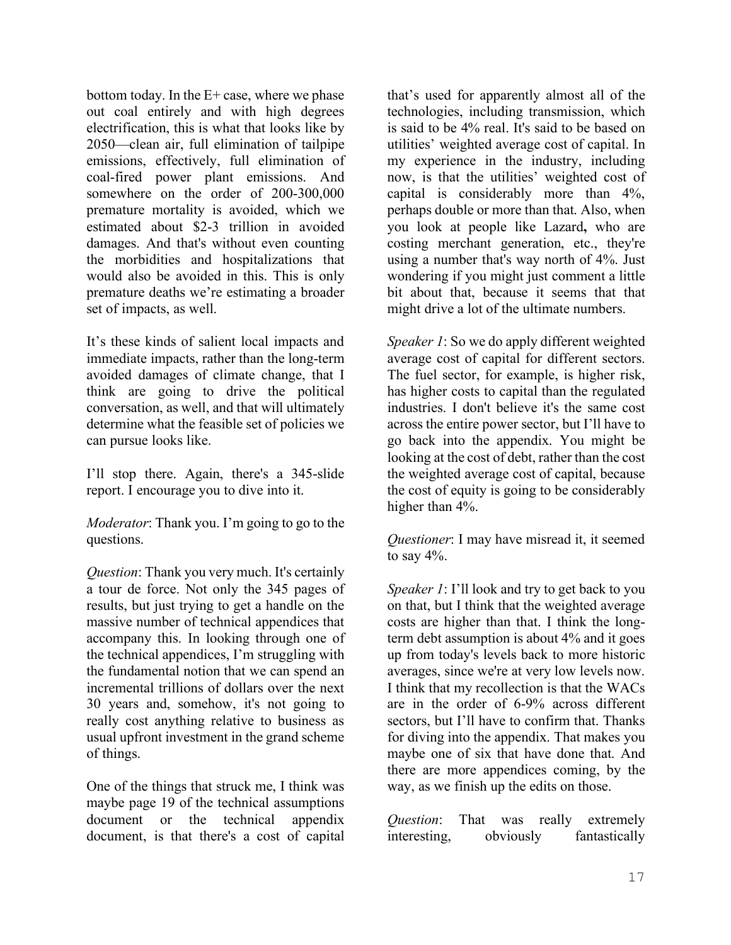bottom today. In the  $E+$  case, where we phase out coal entirely and with high degrees electrification, this is what that looks like by 2050—clean air, full elimination of tailpipe emissions, effectively, full elimination of coal-fired power plant emissions. And somewhere on the order of 200-300,000 premature mortality is avoided, which we estimated about \$2-3 trillion in avoided damages. And that's without even counting the morbidities and hospitalizations that would also be avoided in this. This is only premature deaths we're estimating a broader set of impacts, as well.

It's these kinds of salient local impacts and immediate impacts, rather than the long-term avoided damages of climate change, that I think are going to drive the political conversation, as well, and that will ultimately determine what the feasible set of policies we can pursue looks like.

I'll stop there. Again, there's a 345-slide report. I encourage you to dive into it.

*Moderator*: Thank you. I'm going to go to the questions.

*Question*: Thank you very much. It's certainly a tour de force. Not only the 345 pages of results, but just trying to get a handle on the massive number of technical appendices that accompany this. In looking through one of the technical appendices, I'm struggling with the fundamental notion that we can spend an incremental trillions of dollars over the next 30 years and, somehow, it's not going to really cost anything relative to business as usual upfront investment in the grand scheme of things.

One of the things that struck me, I think was maybe page 19 of the technical assumptions document or the technical appendix document, is that there's a cost of capital that's used for apparently almost all of the technologies, including transmission, which is said to be 4% real. It's said to be based on utilities' weighted average cost of capital. In my experience in the industry, including now, is that the utilities' weighted cost of capital is considerably more than 4%, perhaps double or more than that. Also, when you look at people like Lazard**,** who are costing merchant generation, etc., they're using a number that's way north of 4%. Just wondering if you might just comment a little bit about that, because it seems that that might drive a lot of the ultimate numbers.

*Speaker 1*: So we do apply different weighted average cost of capital for different sectors. The fuel sector, for example, is higher risk, has higher costs to capital than the regulated industries. I don't believe it's the same cost across the entire power sector, but I'll have to go back into the appendix. You might be looking at the cost of debt, rather than the cost the weighted average cost of capital, because the cost of equity is going to be considerably higher than 4%.

*Questioner*: I may have misread it, it seemed to say  $4\%$ .

*Speaker 1*: I'll look and try to get back to you on that, but I think that the weighted average costs are higher than that. I think the longterm debt assumption is about 4% and it goes up from today's levels back to more historic averages, since we're at very low levels now. I think that my recollection is that the WACs are in the order of 6-9% across different sectors, but I'll have to confirm that. Thanks for diving into the appendix. That makes you maybe one of six that have done that. And there are more appendices coming, by the way, as we finish up the edits on those.

*Question*: That was really extremely interesting, obviously fantastically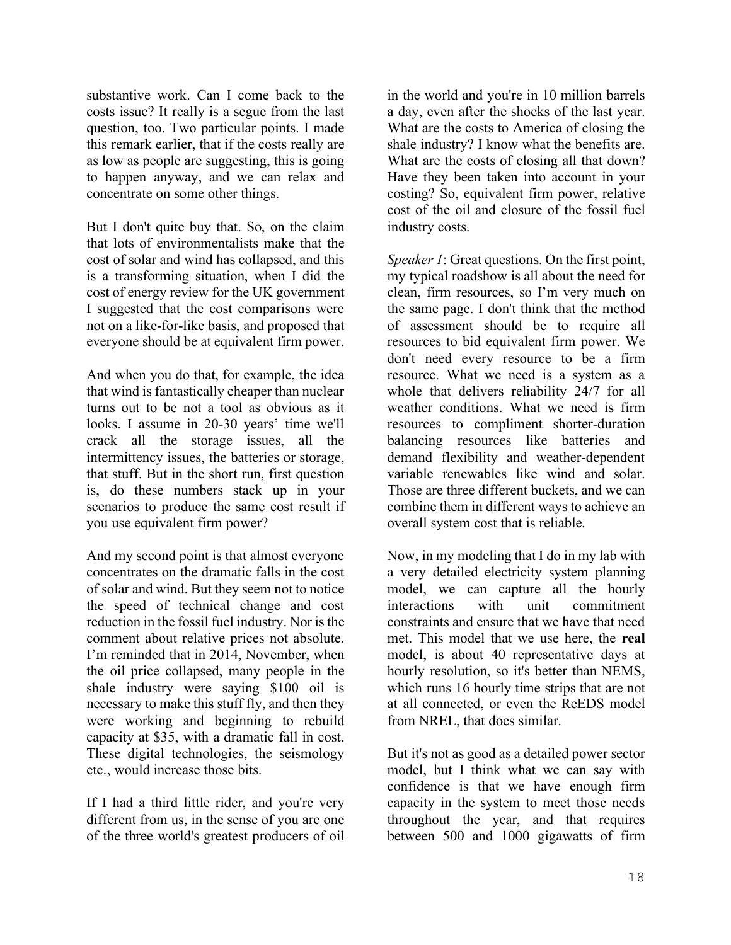substantive work. Can I come back to the costs issue? It really is a segue from the last question, too. Two particular points. I made this remark earlier, that if the costs really are as low as people are suggesting, this is going to happen anyway, and we can relax and concentrate on some other things.

But I don't quite buy that. So, on the claim that lots of environmentalists make that the cost of solar and wind has collapsed, and this is a transforming situation, when I did the cost of energy review for the UK government I suggested that the cost comparisons were not on a like-for-like basis, and proposed that everyone should be at equivalent firm power.

And when you do that, for example, the idea that wind is fantastically cheaper than nuclear turns out to be not a tool as obvious as it looks. I assume in 20-30 years' time we'll crack all the storage issues, all the intermittency issues, the batteries or storage, that stuff. But in the short run, first question is, do these numbers stack up in your scenarios to produce the same cost result if you use equivalent firm power?

And my second point is that almost everyone concentrates on the dramatic falls in the cost of solar and wind. But they seem not to notice the speed of technical change and cost reduction in the fossil fuel industry. Nor is the comment about relative prices not absolute. I'm reminded that in 2014, November, when the oil price collapsed, many people in the shale industry were saying \$100 oil is necessary to make this stuff fly, and then they were working and beginning to rebuild capacity at \$35, with a dramatic fall in cost. These digital technologies, the seismology etc., would increase those bits.

If I had a third little rider, and you're very different from us, in the sense of you are one of the three world's greatest producers of oil in the world and you're in 10 million barrels a day, even after the shocks of the last year. What are the costs to America of closing the shale industry? I know what the benefits are. What are the costs of closing all that down? Have they been taken into account in your costing? So, equivalent firm power, relative cost of the oil and closure of the fossil fuel industry costs.

*Speaker 1*: Great questions. On the first point, my typical roadshow is all about the need for clean, firm resources, so I'm very much on the same page. I don't think that the method of assessment should be to require all resources to bid equivalent firm power. We don't need every resource to be a firm resource. What we need is a system as a whole that delivers reliability 24/7 for all weather conditions. What we need is firm resources to compliment shorter-duration balancing resources like batteries and demand flexibility and weather-dependent variable renewables like wind and solar. Those are three different buckets, and we can combine them in different ways to achieve an overall system cost that is reliable.

Now, in my modeling that I do in my lab with a very detailed electricity system planning model, we can capture all the hourly interactions with unit commitment constraints and ensure that we have that need met. This model that we use here, the **real** model, is about 40 representative days at hourly resolution, so it's better than NEMS, which runs 16 hourly time strips that are not at all connected, or even the ReEDS model from NREL, that does similar.

But it's not as good as a detailed power sector model, but I think what we can say with confidence is that we have enough firm capacity in the system to meet those needs throughout the year, and that requires between 500 and 1000 gigawatts of firm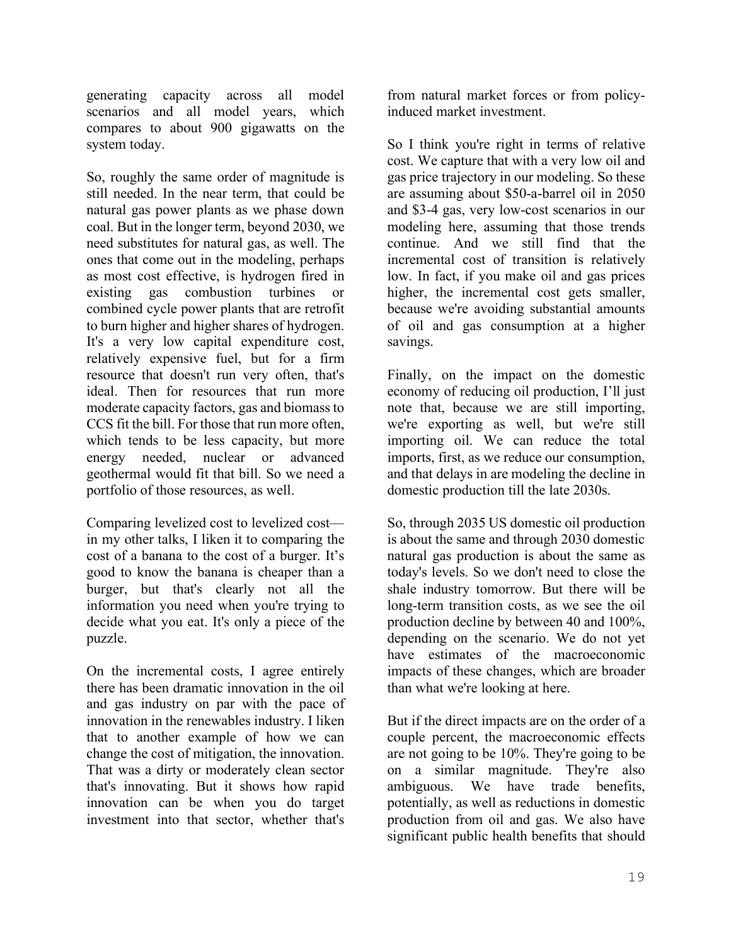generating capacity across all model scenarios and all model years, which compares to about 900 gigawatts on the system today.

So, roughly the same order of magnitude is still needed. In the near term, that could be natural gas power plants as we phase down coal. But in the longer term, beyond 2030, we need substitutes for natural gas, as well. The ones that come out in the modeling, perhaps as most cost effective, is hydrogen fired in existing gas combustion turbines or combined cycle power plants that are retrofit to burn higher and higher shares of hydrogen. It's a very low capital expenditure cost, relatively expensive fuel, but for a firm resource that doesn't run very often, that's ideal. Then for resources that run more moderate capacity factors, gas and biomass to CCS fit the bill. For those that run more often, which tends to be less capacity, but more energy needed, nuclear or advanced geothermal would fit that bill. So we need a portfolio of those resources, as well.

Comparing levelized cost to levelized cost in my other talks, I liken it to comparing the cost of a banana to the cost of a burger. It's good to know the banana is cheaper than a burger, but that's clearly not all the information you need when you're trying to decide what you eat. It's only a piece of the puzzle.

On the incremental costs, I agree entirely there has been dramatic innovation in the oil and gas industry on par with the pace of innovation in the renewables industry. I liken that to another example of how we can change the cost of mitigation, the innovation. That was a dirty or moderately clean sector that's innovating. But it shows how rapid innovation can be when you do target investment into that sector, whether that's

from natural market forces or from policyinduced market investment.

So I think you're right in terms of relative cost. We capture that with a very low oil and gas price trajectory in our modeling. So these are assuming about \$50-a-barrel oil in 2050 and \$3-4 gas, very low-cost scenarios in our modeling here, assuming that those trends continue. And we still find that the incremental cost of transition is relatively low. In fact, if you make oil and gas prices higher, the incremental cost gets smaller, because we're avoiding substantial amounts of oil and gas consumption at a higher savings.

Finally, on the impact on the domestic economy of reducing oil production, I'll just note that, because we are still importing, we're exporting as well, but we're still importing oil. We can reduce the total imports, first, as we reduce our consumption, and that delays in are modeling the decline in domestic production till the late 2030s.

So, through 2035 US domestic oil production is about the same and through 2030 domestic natural gas production is about the same as today's levels. So we don't need to close the shale industry tomorrow. But there will be long-term transition costs, as we see the oil production decline by between 40 and 100%, depending on the scenario. We do not yet have estimates of the macroeconomic impacts of these changes, which are broader than what we're looking at here.

But if the direct impacts are on the order of a couple percent, the macroeconomic effects are not going to be 10%. They're going to be on a similar magnitude. They're also ambiguous. We have trade benefits, potentially, as well as reductions in domestic production from oil and gas. We also have significant public health benefits that should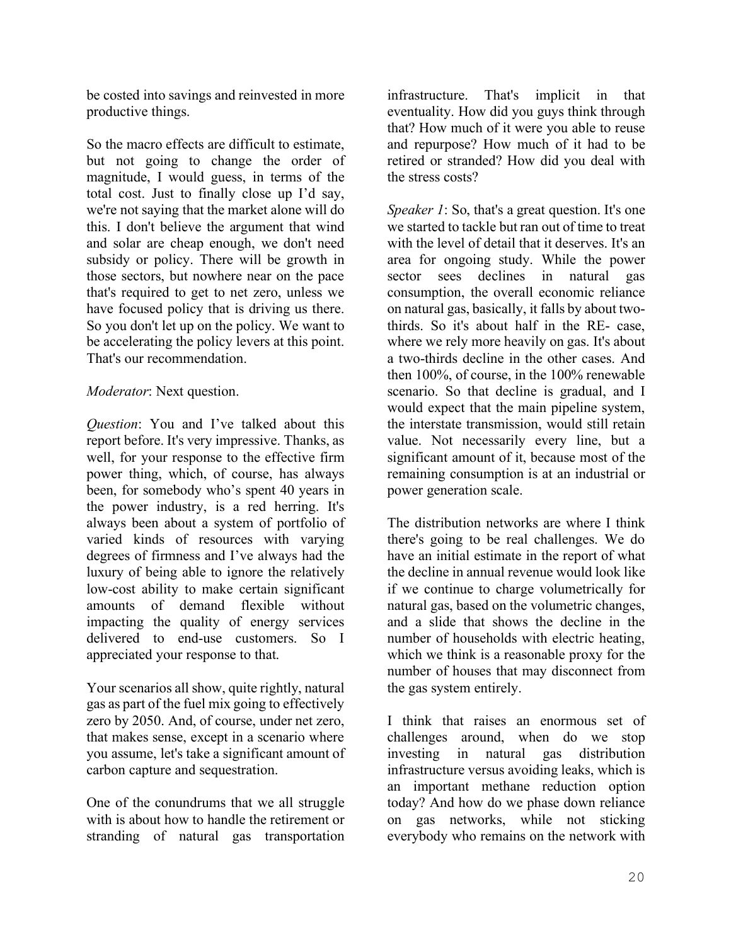be costed into savings and reinvested in more productive things.

So the macro effects are difficult to estimate, but not going to change the order of magnitude, I would guess, in terms of the total cost. Just to finally close up I'd say, we're not saying that the market alone will do this. I don't believe the argument that wind and solar are cheap enough, we don't need subsidy or policy. There will be growth in those sectors, but nowhere near on the pace that's required to get to net zero, unless we have focused policy that is driving us there. So you don't let up on the policy. We want to be accelerating the policy levers at this point. That's our recommendation.

# *Moderator*: Next question.

*Question*: You and I've talked about this report before. It's very impressive. Thanks, as well, for your response to the effective firm power thing, which, of course, has always been, for somebody who's spent 40 years in the power industry, is a red herring. It's always been about a system of portfolio of varied kinds of resources with varying degrees of firmness and I've always had the luxury of being able to ignore the relatively low-cost ability to make certain significant amounts of demand flexible without impacting the quality of energy services delivered to end-use customers. So I appreciated your response to that.

Your scenarios all show, quite rightly, natural gas as part of the fuel mix going to effectively zero by 2050. And, of course, under net zero, that makes sense, except in a scenario where you assume, let's take a significant amount of carbon capture and sequestration.

One of the conundrums that we all struggle with is about how to handle the retirement or stranding of natural gas transportation infrastructure. That's implicit in that eventuality. How did you guys think through that? How much of it were you able to reuse and repurpose? How much of it had to be retired or stranded? How did you deal with the stress costs?

*Speaker 1*: So, that's a great question. It's one we started to tackle but ran out of time to treat with the level of detail that it deserves. It's an area for ongoing study. While the power sector sees declines in natural gas consumption, the overall economic reliance on natural gas, basically, it falls by about twothirds. So it's about half in the RE- case, where we rely more heavily on gas. It's about a two-thirds decline in the other cases. And then 100%, of course, in the 100% renewable scenario. So that decline is gradual, and I would expect that the main pipeline system, the interstate transmission, would still retain value. Not necessarily every line, but a significant amount of it, because most of the remaining consumption is at an industrial or power generation scale.

The distribution networks are where I think there's going to be real challenges. We do have an initial estimate in the report of what the decline in annual revenue would look like if we continue to charge volumetrically for natural gas, based on the volumetric changes, and a slide that shows the decline in the number of households with electric heating, which we think is a reasonable proxy for the number of houses that may disconnect from the gas system entirely.

I think that raises an enormous set of challenges around, when do we stop investing in natural gas distribution infrastructure versus avoiding leaks, which is an important methane reduction option today? And how do we phase down reliance on gas networks, while not sticking everybody who remains on the network with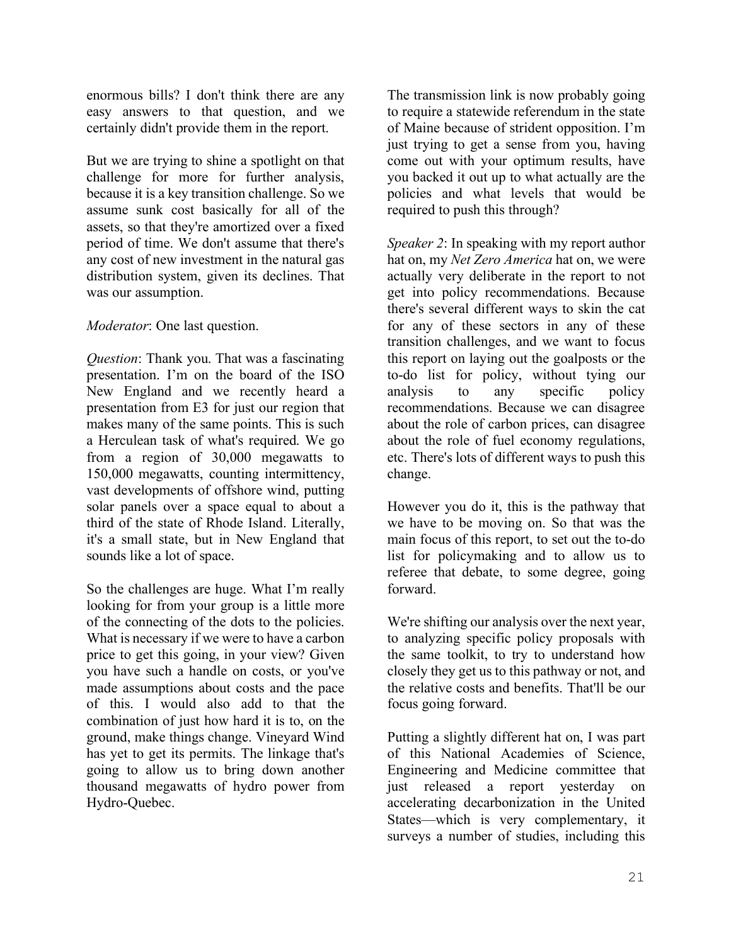enormous bills? I don't think there are any easy answers to that question, and we certainly didn't provide them in the report.

But we are trying to shine a spotlight on that challenge for more for further analysis, because it is a key transition challenge. So we assume sunk cost basically for all of the assets, so that they're amortized over a fixed period of time. We don't assume that there's any cost of new investment in the natural gas distribution system, given its declines. That was our assumption.

# *Moderator*: One last question.

*Question*: Thank you. That was a fascinating presentation. I'm on the board of the ISO New England and we recently heard a presentation from E3 for just our region that makes many of the same points. This is such a Herculean task of what's required. We go from a region of 30,000 megawatts to 150,000 megawatts, counting intermittency, vast developments of offshore wind, putting solar panels over a space equal to about a third of the state of Rhode Island. Literally, it's a small state, but in New England that sounds like a lot of space.

So the challenges are huge. What I'm really looking for from your group is a little more of the connecting of the dots to the policies. What is necessary if we were to have a carbon price to get this going, in your view? Given you have such a handle on costs, or you've made assumptions about costs and the pace of this. I would also add to that the combination of just how hard it is to, on the ground, make things change. Vineyard Wind has yet to get its permits. The linkage that's going to allow us to bring down another thousand megawatts of hydro power from Hydro-Quebec.

The transmission link is now probably going to require a statewide referendum in the state of Maine because of strident opposition. I'm just trying to get a sense from you, having come out with your optimum results, have you backed it out up to what actually are the policies and what levels that would be required to push this through?

*Speaker 2*: In speaking with my report author hat on, my *Net Zero America* hat on, we were actually very deliberate in the report to not get into policy recommendations. Because there's several different ways to skin the cat for any of these sectors in any of these transition challenges, and we want to focus this report on laying out the goalposts or the to-do list for policy, without tying our analysis to any specific policy recommendations. Because we can disagree about the role of carbon prices, can disagree about the role of fuel economy regulations, etc. There's lots of different ways to push this change.

However you do it, this is the pathway that we have to be moving on. So that was the main focus of this report, to set out the to-do list for policymaking and to allow us to referee that debate, to some degree, going forward.

We're shifting our analysis over the next year, to analyzing specific policy proposals with the same toolkit, to try to understand how closely they get us to this pathway or not, and the relative costs and benefits. That'll be our focus going forward.

Putting a slightly different hat on, I was part of this National Academies of Science, Engineering and Medicine committee that just released a report yesterday on accelerating decarbonization in the United States—which is very complementary, it surveys a number of studies, including this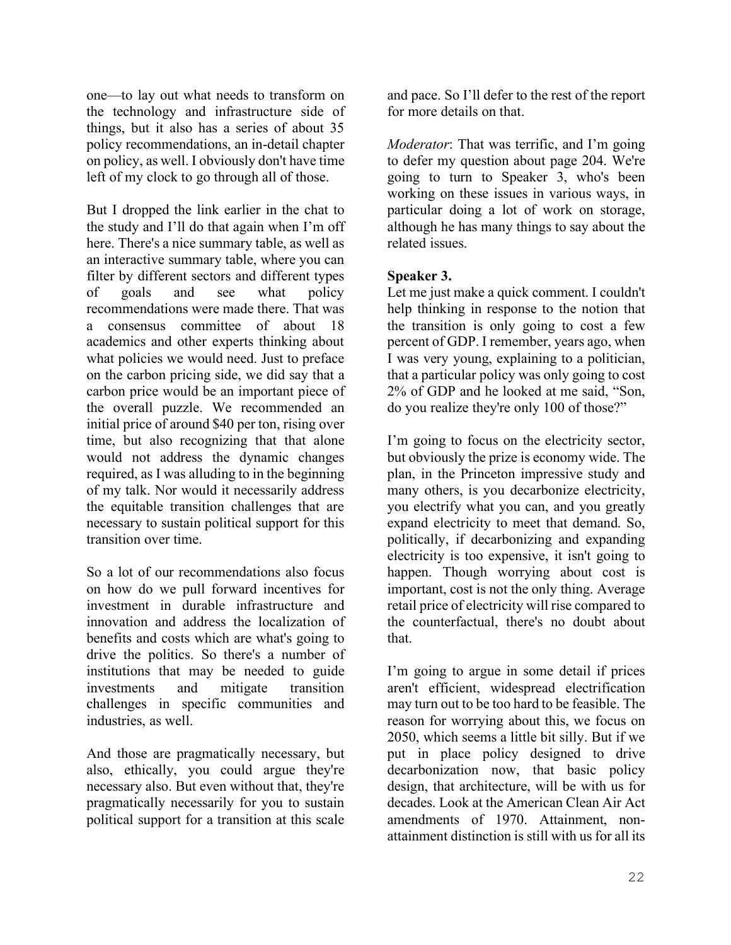one—to lay out what needs to transform on the technology and infrastructure side of things, but it also has a series of about 35 policy recommendations, an in-detail chapter on policy, as well. I obviously don't have time left of my clock to go through all of those.

But I dropped the link earlier in the chat to the study and I'll do that again when I'm off here. There's a nice summary table, as well as an interactive summary table, where you can filter by different sectors and different types of goals and see what policy recommendations were made there. That was a consensus committee of about 18 academics and other experts thinking about what policies we would need. Just to preface on the carbon pricing side, we did say that a carbon price would be an important piece of the overall puzzle. We recommended an initial price of around \$40 per ton, rising over time, but also recognizing that that alone would not address the dynamic changes required, as I was alluding to in the beginning of my talk. Nor would it necessarily address the equitable transition challenges that are necessary to sustain political support for this transition over time.

So a lot of our recommendations also focus on how do we pull forward incentives for investment in durable infrastructure and innovation and address the localization of benefits and costs which are what's going to drive the politics. So there's a number of institutions that may be needed to guide investments and mitigate transition challenges in specific communities and industries, as well.

And those are pragmatically necessary, but also, ethically, you could argue they're necessary also. But even without that, they're pragmatically necessarily for you to sustain political support for a transition at this scale

and pace. So I'll defer to the rest of the report for more details on that.

*Moderator*: That was terrific, and I'm going to defer my question about page 204. We're going to turn to Speaker 3, who's been working on these issues in various ways, in particular doing a lot of work on storage, although he has many things to say about the related issues.

# **Speaker 3.**

Let me just make a quick comment. I couldn't help thinking in response to the notion that the transition is only going to cost a few percent of GDP. I remember, years ago, when I was very young, explaining to a politician, that a particular policy was only going to cost 2% of GDP and he looked at me said, "Son, do you realize they're only 100 of those?"

I'm going to focus on the electricity sector, but obviously the prize is economy wide. The plan, in the Princeton impressive study and many others, is you decarbonize electricity, you electrify what you can, and you greatly expand electricity to meet that demand. So, politically, if decarbonizing and expanding electricity is too expensive, it isn't going to happen. Though worrying about cost is important, cost is not the only thing. Average retail price of electricity will rise compared to the counterfactual, there's no doubt about that.

I'm going to argue in some detail if prices aren't efficient, widespread electrification may turn out to be too hard to be feasible. The reason for worrying about this, we focus on 2050, which seems a little bit silly. But if we put in place policy designed to drive decarbonization now, that basic policy design, that architecture, will be with us for decades. Look at the American Clean Air Act amendments of 1970. Attainment, nonattainment distinction is still with us for all its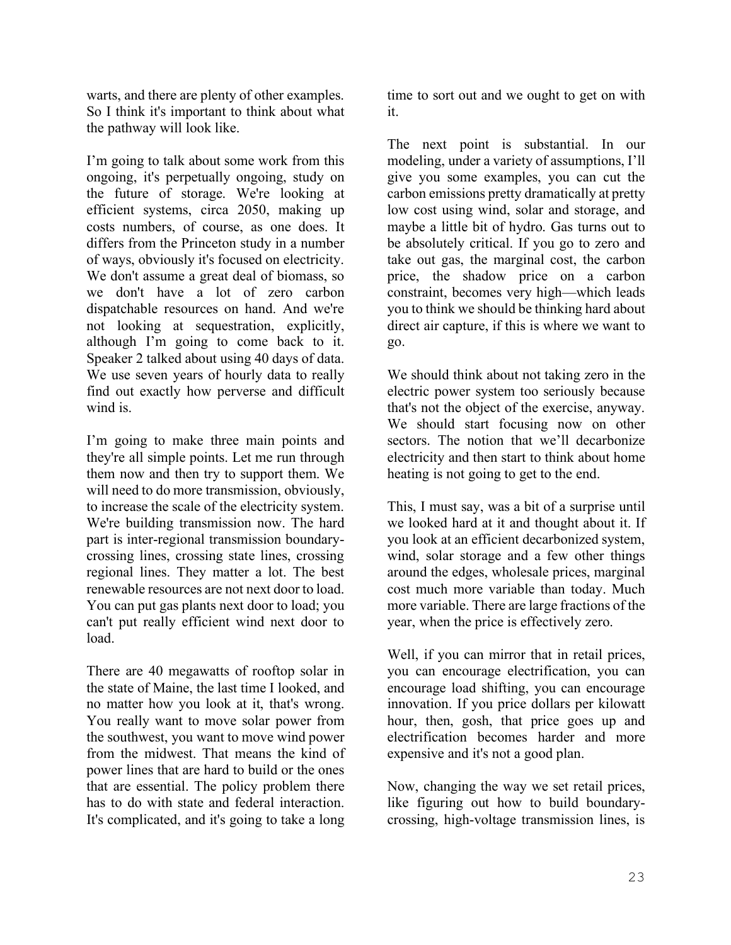warts, and there are plenty of other examples. So I think it's important to think about what the pathway will look like.

I'm going to talk about some work from this ongoing, it's perpetually ongoing, study on the future of storage. We're looking at efficient systems, circa 2050, making up costs numbers, of course, as one does. It differs from the Princeton study in a number of ways, obviously it's focused on electricity. We don't assume a great deal of biomass, so we don't have a lot of zero carbon dispatchable resources on hand. And we're not looking at sequestration, explicitly, although I'm going to come back to it. Speaker 2 talked about using 40 days of data. We use seven years of hourly data to really find out exactly how perverse and difficult wind is.

I'm going to make three main points and they're all simple points. Let me run through them now and then try to support them. We will need to do more transmission, obviously, to increase the scale of the electricity system. We're building transmission now. The hard part is inter-regional transmission boundarycrossing lines, crossing state lines, crossing regional lines. They matter a lot. The best renewable resources are not next door to load. You can put gas plants next door to load; you can't put really efficient wind next door to load.

There are 40 megawatts of rooftop solar in the state of Maine, the last time I looked, and no matter how you look at it, that's wrong. You really want to move solar power from the southwest, you want to move wind power from the midwest. That means the kind of power lines that are hard to build or the ones that are essential. The policy problem there has to do with state and federal interaction. It's complicated, and it's going to take a long time to sort out and we ought to get on with it.

The next point is substantial. In our modeling, under a variety of assumptions, I'll give you some examples, you can cut the carbon emissions pretty dramatically at pretty low cost using wind, solar and storage, and maybe a little bit of hydro. Gas turns out to be absolutely critical. If you go to zero and take out gas, the marginal cost, the carbon price, the shadow price on a carbon constraint, becomes very high—which leads you to think we should be thinking hard about direct air capture, if this is where we want to go.

We should think about not taking zero in the electric power system too seriously because that's not the object of the exercise, anyway. We should start focusing now on other sectors. The notion that we'll decarbonize electricity and then start to think about home heating is not going to get to the end.

This, I must say, was a bit of a surprise until we looked hard at it and thought about it. If you look at an efficient decarbonized system, wind, solar storage and a few other things around the edges, wholesale prices, marginal cost much more variable than today. Much more variable. There are large fractions of the year, when the price is effectively zero.

Well, if you can mirror that in retail prices, you can encourage electrification, you can encourage load shifting, you can encourage innovation. If you price dollars per kilowatt hour, then, gosh, that price goes up and electrification becomes harder and more expensive and it's not a good plan.

Now, changing the way we set retail prices, like figuring out how to build boundarycrossing, high-voltage transmission lines, is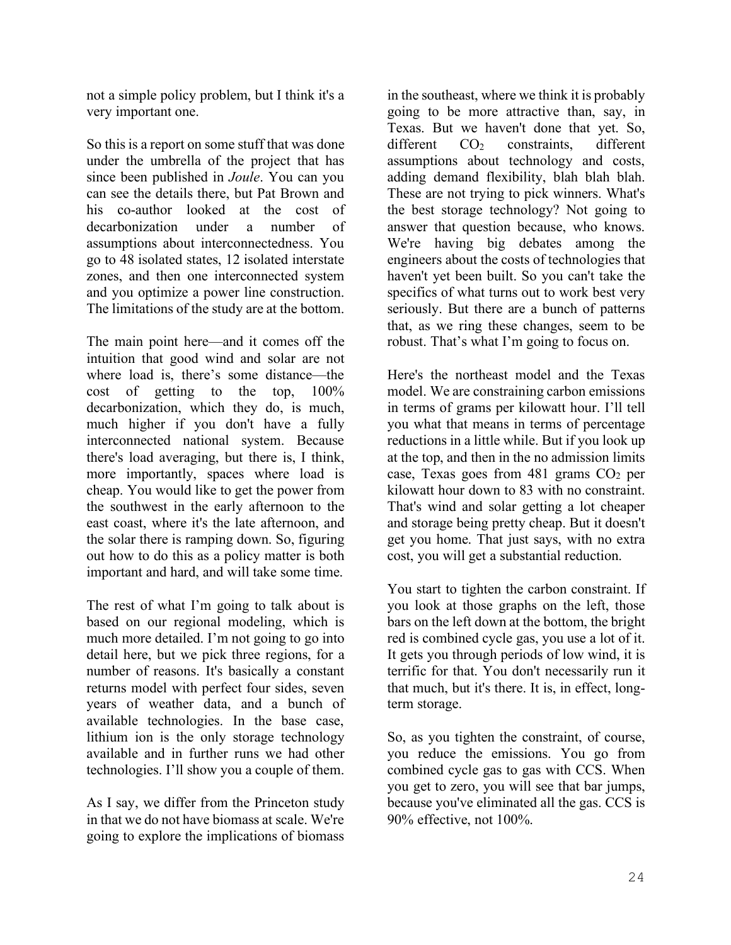not a simple policy problem, but I think it's a very important one.

So this is a report on some stuff that was done under the umbrella of the project that has since been published in *Joule*. You can you can see the details there, but Pat Brown and his co-author looked at the cost of decarbonization under a number of assumptions about interconnectedness. You go to 48 isolated states, 12 isolated interstate zones, and then one interconnected system and you optimize a power line construction. The limitations of the study are at the bottom.

The main point here—and it comes off the intuition that good wind and solar are not where load is, there's some distance—the cost of getting to the top, 100% decarbonization, which they do, is much, much higher if you don't have a fully interconnected national system. Because there's load averaging, but there is, I think, more importantly, spaces where load is cheap. You would like to get the power from the southwest in the early afternoon to the east coast, where it's the late afternoon, and the solar there is ramping down. So, figuring out how to do this as a policy matter is both important and hard, and will take some time.

The rest of what I'm going to talk about is based on our regional modeling, which is much more detailed. I'm not going to go into detail here, but we pick three regions, for a number of reasons. It's basically a constant returns model with perfect four sides, seven years of weather data, and a bunch of available technologies. In the base case, lithium ion is the only storage technology available and in further runs we had other technologies. I'll show you a couple of them.

As I say, we differ from the Princeton study in that we do not have biomass at scale. We're going to explore the implications of biomass

in the southeast, where we think it is probably going to be more attractive than, say, in Texas. But we haven't done that yet. So, different CO<sub>2</sub> constraints, different assumptions about technology and costs, adding demand flexibility, blah blah blah. These are not trying to pick winners. What's the best storage technology? Not going to answer that question because, who knows. We're having big debates among the engineers about the costs of technologies that haven't yet been built. So you can't take the specifics of what turns out to work best very seriously. But there are a bunch of patterns that, as we ring these changes, seem to be robust. That's what I'm going to focus on.

Here's the northeast model and the Texas model. We are constraining carbon emissions in terms of grams per kilowatt hour. I'll tell you what that means in terms of percentage reductions in a little while. But if you look up at the top, and then in the no admission limits case, Texas goes from  $481$  grams  $CO<sub>2</sub>$  per kilowatt hour down to 83 with no constraint. That's wind and solar getting a lot cheaper and storage being pretty cheap. But it doesn't get you home. That just says, with no extra cost, you will get a substantial reduction.

You start to tighten the carbon constraint. If you look at those graphs on the left, those bars on the left down at the bottom, the bright red is combined cycle gas, you use a lot of it. It gets you through periods of low wind, it is terrific for that. You don't necessarily run it that much, but it's there. It is, in effect, longterm storage.

So, as you tighten the constraint, of course, you reduce the emissions. You go from combined cycle gas to gas with CCS. When you get to zero, you will see that bar jumps, because you've eliminated all the gas. CCS is 90% effective, not 100%.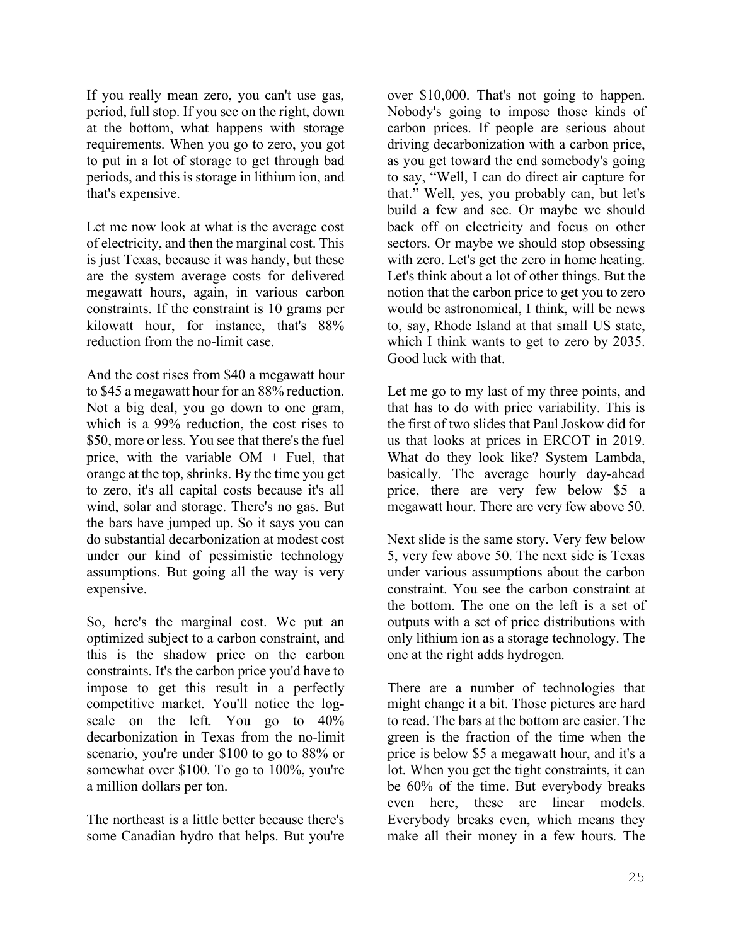If you really mean zero, you can't use gas, period, full stop. If you see on the right, down at the bottom, what happens with storage requirements. When you go to zero, you got to put in a lot of storage to get through bad periods, and this is storage in lithium ion, and that's expensive.

Let me now look at what is the average cost of electricity, and then the marginal cost. This is just Texas, because it was handy, but these are the system average costs for delivered megawatt hours, again, in various carbon constraints. If the constraint is 10 grams per kilowatt hour, for instance, that's 88% reduction from the no-limit case.

And the cost rises from \$40 a megawatt hour to \$45 a megawatt hour for an 88% reduction. Not a big deal, you go down to one gram, which is a 99% reduction, the cost rises to \$50, more or less. You see that there's the fuel price, with the variable  $OM + Fuel$ , that orange at the top, shrinks. By the time you get to zero, it's all capital costs because it's all wind, solar and storage. There's no gas. But the bars have jumped up. So it says you can do substantial decarbonization at modest cost under our kind of pessimistic technology assumptions. But going all the way is very expensive.

So, here's the marginal cost. We put an optimized subject to a carbon constraint, and this is the shadow price on the carbon constraints. It's the carbon price you'd have to impose to get this result in a perfectly competitive market. You'll notice the logscale on the left. You go to 40% decarbonization in Texas from the no-limit scenario, you're under \$100 to go to 88% or somewhat over \$100. To go to 100%, you're a million dollars per ton.

The northeast is a little better because there's some Canadian hydro that helps. But you're over \$10,000. That's not going to happen. Nobody's going to impose those kinds of carbon prices. If people are serious about driving decarbonization with a carbon price, as you get toward the end somebody's going to say, "Well, I can do direct air capture for that." Well, yes, you probably can, but let's build a few and see. Or maybe we should back off on electricity and focus on other sectors. Or maybe we should stop obsessing with zero. Let's get the zero in home heating. Let's think about a lot of other things. But the notion that the carbon price to get you to zero would be astronomical, I think, will be news to, say, Rhode Island at that small US state, which I think wants to get to zero by 2035. Good luck with that.

Let me go to my last of my three points, and that has to do with price variability. This is the first of two slides that Paul Joskow did for us that looks at prices in ERCOT in 2019. What do they look like? System Lambda, basically. The average hourly day-ahead price, there are very few below \$5 a megawatt hour. There are very few above 50.

Next slide is the same story. Very few below 5, very few above 50. The next side is Texas under various assumptions about the carbon constraint. You see the carbon constraint at the bottom. The one on the left is a set of outputs with a set of price distributions with only lithium ion as a storage technology. The one at the right adds hydrogen.

There are a number of technologies that might change it a bit. Those pictures are hard to read. The bars at the bottom are easier. The green is the fraction of the time when the price is below \$5 a megawatt hour, and it's a lot. When you get the tight constraints, it can be 60% of the time. But everybody breaks even here, these are linear models. Everybody breaks even, which means they make all their money in a few hours. The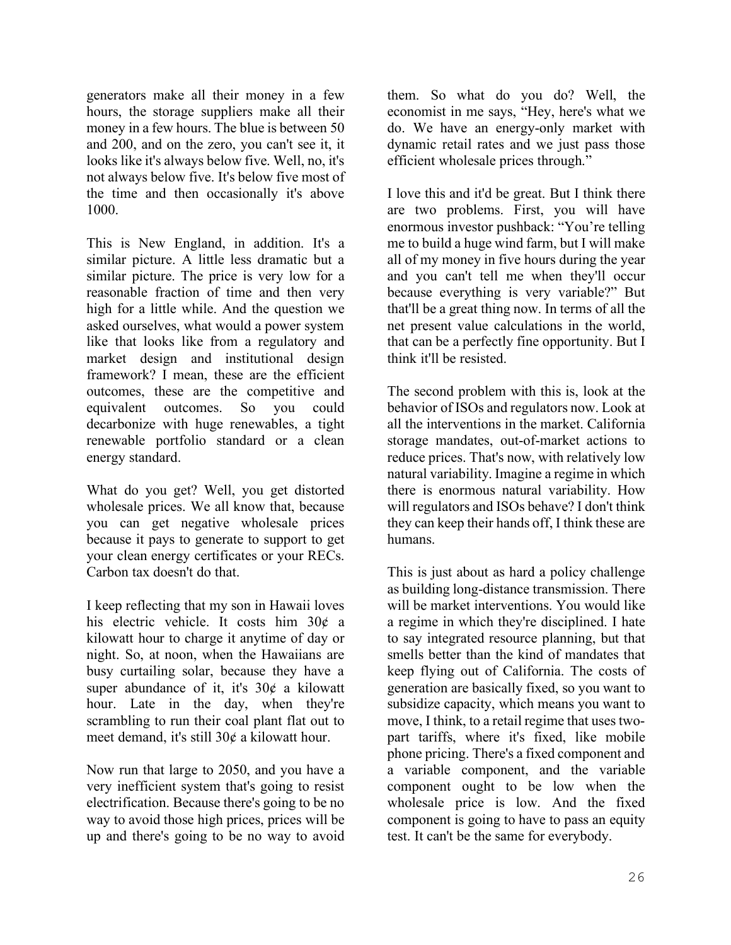generators make all their money in a few hours, the storage suppliers make all their money in a few hours. The blue is between 50 and 200, and on the zero, you can't see it, it looks like it's always below five. Well, no, it's not always below five. It's below five most of the time and then occasionally it's above 1000.

This is New England, in addition. It's a similar picture. A little less dramatic but a similar picture. The price is very low for a reasonable fraction of time and then very high for a little while. And the question we asked ourselves, what would a power system like that looks like from a regulatory and market design and institutional design framework? I mean, these are the efficient outcomes, these are the competitive and equivalent outcomes. So you could decarbonize with huge renewables, a tight renewable portfolio standard or a clean energy standard.

What do you get? Well, you get distorted wholesale prices. We all know that, because you can get negative wholesale prices because it pays to generate to support to get your clean energy certificates or your RECs. Carbon tax doesn't do that.

I keep reflecting that my son in Hawaii loves his electric vehicle. It costs him 30¢ a kilowatt hour to charge it anytime of day or night. So, at noon, when the Hawaiians are busy curtailing solar, because they have a super abundance of it, it's 30¢ a kilowatt hour. Late in the day, when they're scrambling to run their coal plant flat out to meet demand, it's still 30¢ a kilowatt hour.

Now run that large to 2050, and you have a very inefficient system that's going to resist electrification. Because there's going to be no way to avoid those high prices, prices will be up and there's going to be no way to avoid them. So what do you do? Well, the economist in me says, "Hey, here's what we do. We have an energy-only market with dynamic retail rates and we just pass those efficient wholesale prices through."

I love this and it'd be great. But I think there are two problems. First, you will have enormous investor pushback: "You're telling me to build a huge wind farm, but I will make all of my money in five hours during the year and you can't tell me when they'll occur because everything is very variable?" But that'll be a great thing now. In terms of all the net present value calculations in the world, that can be a perfectly fine opportunity. But I think it'll be resisted.

The second problem with this is, look at the behavior of ISOs and regulators now. Look at all the interventions in the market. California storage mandates, out-of-market actions to reduce prices. That's now, with relatively low natural variability. Imagine a regime in which there is enormous natural variability. How will regulators and ISOs behave? I don't think they can keep their hands off, I think these are humans.

This is just about as hard a policy challenge as building long-distance transmission. There will be market interventions. You would like a regime in which they're disciplined. I hate to say integrated resource planning, but that smells better than the kind of mandates that keep flying out of California. The costs of generation are basically fixed, so you want to subsidize capacity, which means you want to move, I think, to a retail regime that uses twopart tariffs, where it's fixed, like mobile phone pricing. There's a fixed component and a variable component, and the variable component ought to be low when the wholesale price is low. And the fixed component is going to have to pass an equity test. It can't be the same for everybody.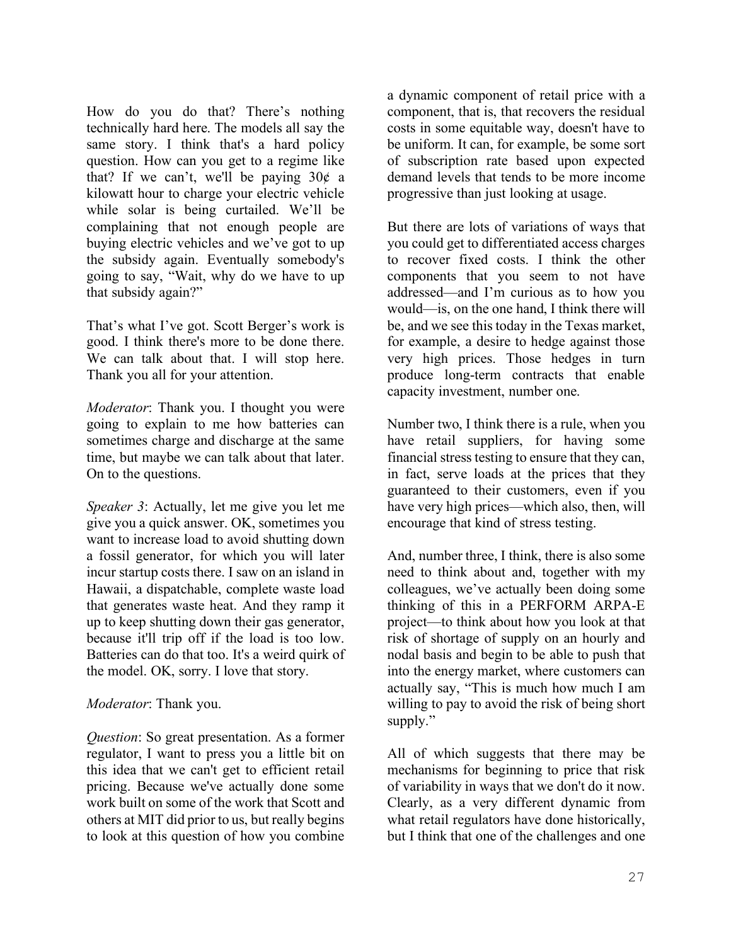How do you do that? There's nothing technically hard here. The models all say the same story. I think that's a hard policy question. How can you get to a regime like that? If we can't, we'll be paying  $30¢$  a kilowatt hour to charge your electric vehicle while solar is being curtailed. We'll be complaining that not enough people are buying electric vehicles and we've got to up the subsidy again. Eventually somebody's going to say, "Wait, why do we have to up that subsidy again?"

That's what I've got. Scott Berger's work is good. I think there's more to be done there. We can talk about that. I will stop here. Thank you all for your attention.

*Moderator*: Thank you. I thought you were going to explain to me how batteries can sometimes charge and discharge at the same time, but maybe we can talk about that later. On to the questions.

*Speaker 3*: Actually, let me give you let me give you a quick answer. OK, sometimes you want to increase load to avoid shutting down a fossil generator, for which you will later incur startup costs there. I saw on an island in Hawaii, a dispatchable, complete waste load that generates waste heat. And they ramp it up to keep shutting down their gas generator, because it'll trip off if the load is too low. Batteries can do that too. It's a weird quirk of the model. OK, sorry. I love that story.

# *Moderator*: Thank you.

*Question*: So great presentation. As a former regulator, I want to press you a little bit on this idea that we can't get to efficient retail pricing. Because we've actually done some work built on some of the work that Scott and others at MIT did prior to us, but really begins to look at this question of how you combine

a dynamic component of retail price with a component, that is, that recovers the residual costs in some equitable way, doesn't have to be uniform. It can, for example, be some sort of subscription rate based upon expected demand levels that tends to be more income progressive than just looking at usage.

But there are lots of variations of ways that you could get to differentiated access charges to recover fixed costs. I think the other components that you seem to not have addressed—and I'm curious as to how you would—is, on the one hand, I think there will be, and we see this today in the Texas market, for example, a desire to hedge against those very high prices. Those hedges in turn produce long-term contracts that enable capacity investment, number one.

Number two, I think there is a rule, when you have retail suppliers, for having some financial stress testing to ensure that they can, in fact, serve loads at the prices that they guaranteed to their customers, even if you have very high prices—which also, then, will encourage that kind of stress testing.

And, number three, I think, there is also some need to think about and, together with my colleagues, we've actually been doing some thinking of this in a PERFORM ARPA-E project—to think about how you look at that risk of shortage of supply on an hourly and nodal basis and begin to be able to push that into the energy market, where customers can actually say, "This is much how much I am willing to pay to avoid the risk of being short supply."

All of which suggests that there may be mechanisms for beginning to price that risk of variability in ways that we don't do it now. Clearly, as a very different dynamic from what retail regulators have done historically, but I think that one of the challenges and one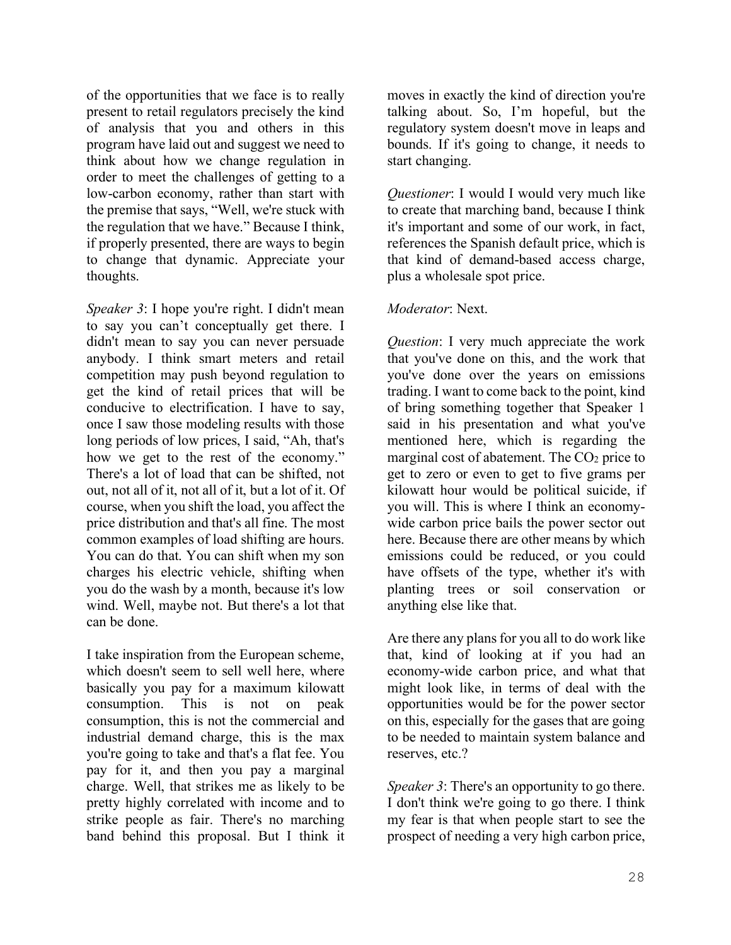of the opportunities that we face is to really present to retail regulators precisely the kind of analysis that you and others in this program have laid out and suggest we need to think about how we change regulation in order to meet the challenges of getting to a low-carbon economy, rather than start with the premise that says, "Well, we're stuck with the regulation that we have." Because I think, if properly presented, there are ways to begin to change that dynamic. Appreciate your thoughts.

*Speaker 3*: I hope you're right. I didn't mean to say you can't conceptually get there. I didn't mean to say you can never persuade anybody. I think smart meters and retail competition may push beyond regulation to get the kind of retail prices that will be conducive to electrification. I have to say, once I saw those modeling results with those long periods of low prices, I said, "Ah, that's how we get to the rest of the economy." There's a lot of load that can be shifted, not out, not all of it, not all of it, but a lot of it. Of course, when you shift the load, you affect the price distribution and that's all fine. The most common examples of load shifting are hours. You can do that. You can shift when my son charges his electric vehicle, shifting when you do the wash by a month, because it's low wind. Well, maybe not. But there's a lot that can be done.

I take inspiration from the European scheme, which doesn't seem to sell well here, where basically you pay for a maximum kilowatt consumption. This is not on peak consumption, this is not the commercial and industrial demand charge, this is the max you're going to take and that's a flat fee. You pay for it, and then you pay a marginal charge. Well, that strikes me as likely to be pretty highly correlated with income and to strike people as fair. There's no marching band behind this proposal. But I think it moves in exactly the kind of direction you're talking about. So, I'm hopeful, but the regulatory system doesn't move in leaps and bounds. If it's going to change, it needs to start changing.

*Questioner*: I would I would very much like to create that marching band, because I think it's important and some of our work, in fact, references the Spanish default price, which is that kind of demand-based access charge, plus a wholesale spot price.

### *Moderator*: Next.

*Question*: I very much appreciate the work that you've done on this, and the work that you've done over the years on emissions trading. I want to come back to the point, kind of bring something together that Speaker 1 said in his presentation and what you've mentioned here, which is regarding the marginal cost of abatement. The  $CO<sub>2</sub>$  price to get to zero or even to get to five grams per kilowatt hour would be political suicide, if you will. This is where I think an economywide carbon price bails the power sector out here. Because there are other means by which emissions could be reduced, or you could have offsets of the type, whether it's with planting trees or soil conservation or anything else like that.

Are there any plans for you all to do work like that, kind of looking at if you had an economy-wide carbon price, and what that might look like, in terms of deal with the opportunities would be for the power sector on this, especially for the gases that are going to be needed to maintain system balance and reserves, etc.?

*Speaker 3*: There's an opportunity to go there. I don't think we're going to go there. I think my fear is that when people start to see the prospect of needing a very high carbon price,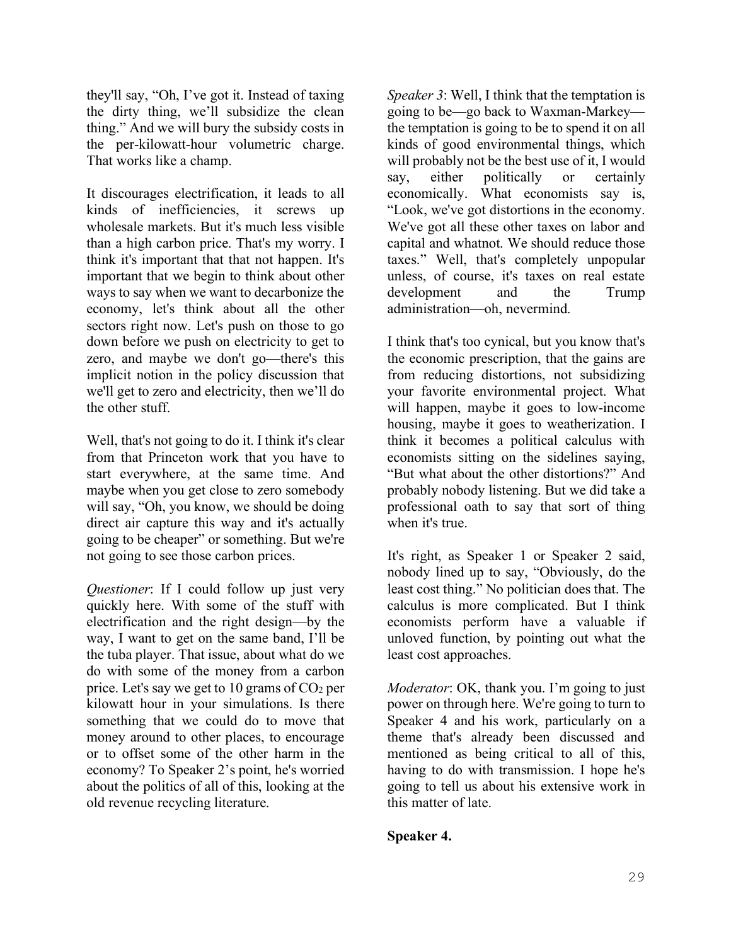they'll say, "Oh, I've got it. Instead of taxing the dirty thing, we'll subsidize the clean thing." And we will bury the subsidy costs in the per-kilowatt-hour volumetric charge. That works like a champ.

It discourages electrification, it leads to all kinds of inefficiencies, it screws up wholesale markets. But it's much less visible than a high carbon price. That's my worry. I think it's important that that not happen. It's important that we begin to think about other ways to say when we want to decarbonize the economy, let's think about all the other sectors right now. Let's push on those to go down before we push on electricity to get to zero, and maybe we don't go—there's this implicit notion in the policy discussion that we'll get to zero and electricity, then we'll do the other stuff.

Well, that's not going to do it. I think it's clear from that Princeton work that you have to start everywhere, at the same time. And maybe when you get close to zero somebody will say, "Oh, you know, we should be doing direct air capture this way and it's actually going to be cheaper" or something. But we're not going to see those carbon prices.

*Questioner*: If I could follow up just very quickly here. With some of the stuff with electrification and the right design—by the way, I want to get on the same band, I'll be the tuba player. That issue, about what do we do with some of the money from a carbon price. Let's say we get to 10 grams of  $CO<sub>2</sub>$  per kilowatt hour in your simulations. Is there something that we could do to move that money around to other places, to encourage or to offset some of the other harm in the economy? To Speaker 2's point, he's worried about the politics of all of this, looking at the old revenue recycling literature.

*Speaker 3*: Well, I think that the temptation is going to be—go back to Waxman-Markey the temptation is going to be to spend it on all kinds of good environmental things, which will probably not be the best use of it, I would say, either politically or certainly economically. What economists say is, "Look, we've got distortions in the economy. We've got all these other taxes on labor and capital and whatnot. We should reduce those taxes." Well, that's completely unpopular unless, of course, it's taxes on real estate development and the Trump administration—oh, nevermind.

I think that's too cynical, but you know that's the economic prescription, that the gains are from reducing distortions, not subsidizing your favorite environmental project. What will happen, maybe it goes to low-income housing, maybe it goes to weatherization. I think it becomes a political calculus with economists sitting on the sidelines saying, "But what about the other distortions?" And probably nobody listening. But we did take a professional oath to say that sort of thing when it's true.

It's right, as Speaker 1 or Speaker 2 said, nobody lined up to say, "Obviously, do the least cost thing." No politician does that. The calculus is more complicated. But I think economists perform have a valuable if unloved function, by pointing out what the least cost approaches.

*Moderator*: OK, thank you. I'm going to just power on through here. We're going to turn to Speaker 4 and his work, particularly on a theme that's already been discussed and mentioned as being critical to all of this, having to do with transmission. I hope he's going to tell us about his extensive work in this matter of late.

# **Speaker 4.**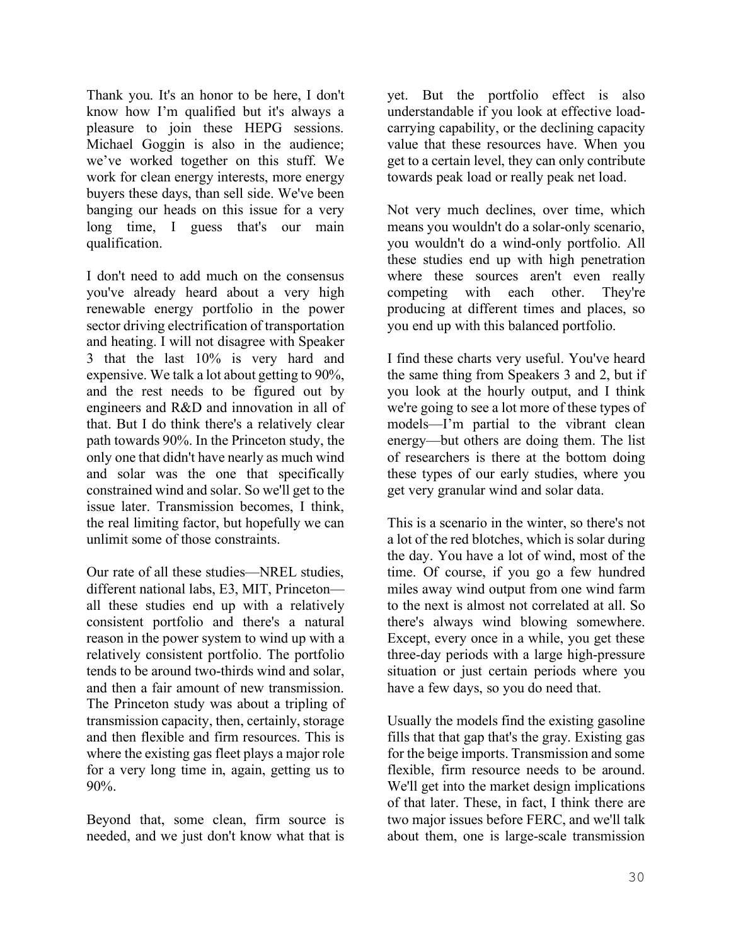Thank you. It's an honor to be here, I don't know how I'm qualified but it's always a pleasure to join these HEPG sessions. Michael Goggin is also in the audience; we've worked together on this stuff. We work for clean energy interests, more energy buyers these days, than sell side. We've been banging our heads on this issue for a very long time, I guess that's our main qualification.

I don't need to add much on the consensus you've already heard about a very high renewable energy portfolio in the power sector driving electrification of transportation and heating. I will not disagree with Speaker 3 that the last 10% is very hard and expensive. We talk a lot about getting to 90%, and the rest needs to be figured out by engineers and R&D and innovation in all of that. But I do think there's a relatively clear path towards 90%. In the Princeton study, the only one that didn't have nearly as much wind and solar was the one that specifically constrained wind and solar. So we'll get to the issue later. Transmission becomes, I think, the real limiting factor, but hopefully we can unlimit some of those constraints.

Our rate of all these studies—NREL studies, different national labs, E3, MIT, Princeton all these studies end up with a relatively consistent portfolio and there's a natural reason in the power system to wind up with a relatively consistent portfolio. The portfolio tends to be around two-thirds wind and solar, and then a fair amount of new transmission. The Princeton study was about a tripling of transmission capacity, then, certainly, storage and then flexible and firm resources. This is where the existing gas fleet plays a major role for a very long time in, again, getting us to 90%.

Beyond that, some clean, firm source is needed, and we just don't know what that is yet. But the portfolio effect is also understandable if you look at effective loadcarrying capability, or the declining capacity value that these resources have. When you get to a certain level, they can only contribute towards peak load or really peak net load.

Not very much declines, over time, which means you wouldn't do a solar-only scenario, you wouldn't do a wind-only portfolio. All these studies end up with high penetration where these sources aren't even really competing with each other. They're producing at different times and places, so you end up with this balanced portfolio.

I find these charts very useful. You've heard the same thing from Speakers 3 and 2, but if you look at the hourly output, and I think we're going to see a lot more of these types of models—I'm partial to the vibrant clean energy—but others are doing them. The list of researchers is there at the bottom doing these types of our early studies, where you get very granular wind and solar data.

This is a scenario in the winter, so there's not a lot of the red blotches, which is solar during the day. You have a lot of wind, most of the time. Of course, if you go a few hundred miles away wind output from one wind farm to the next is almost not correlated at all. So there's always wind blowing somewhere. Except, every once in a while, you get these three-day periods with a large high-pressure situation or just certain periods where you have a few days, so you do need that.

Usually the models find the existing gasoline fills that that gap that's the gray. Existing gas for the beige imports. Transmission and some flexible, firm resource needs to be around. We'll get into the market design implications of that later. These, in fact, I think there are two major issues before FERC, and we'll talk about them, one is large-scale transmission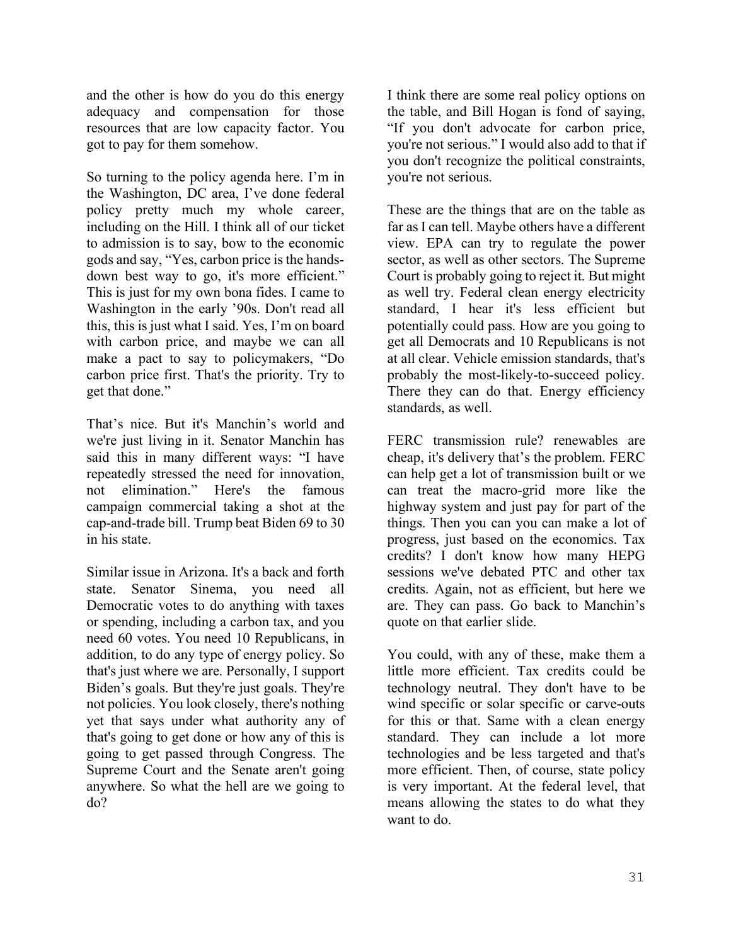and the other is how do you do this energy adequacy and compensation for those resources that are low capacity factor. You got to pay for them somehow.

So turning to the policy agenda here. I'm in the Washington, DC area, I've done federal policy pretty much my whole career, including on the Hill. I think all of our ticket to admission is to say, bow to the economic gods and say, "Yes, carbon price is the handsdown best way to go, it's more efficient." This is just for my own bona fides. I came to Washington in the early '90s. Don't read all this, this is just what I said. Yes, I'm on board with carbon price, and maybe we can all make a pact to say to policymakers, "Do carbon price first. That's the priority. Try to get that done."

That's nice. But it's Manchin's world and we're just living in it. Senator Manchin has said this in many different ways: "I have repeatedly stressed the need for innovation, not elimination." Here's the famous campaign commercial taking a shot at the cap-and-trade bill. Trump beat Biden 69 to 30 in his state.

Similar issue in Arizona. It's a back and forth state. Senator Sinema, you need all Democratic votes to do anything with taxes or spending, including a carbon tax, and you need 60 votes. You need 10 Republicans, in addition, to do any type of energy policy. So that's just where we are. Personally, I support Biden's goals. But they're just goals. They're not policies. You look closely, there's nothing yet that says under what authority any of that's going to get done or how any of this is going to get passed through Congress. The Supreme Court and the Senate aren't going anywhere. So what the hell are we going to do?

I think there are some real policy options on the table, and Bill Hogan is fond of saying, "If you don't advocate for carbon price, you're not serious." I would also add to that if you don't recognize the political constraints, you're not serious.

These are the things that are on the table as far as I can tell. Maybe others have a different view. EPA can try to regulate the power sector, as well as other sectors. The Supreme Court is probably going to reject it. But might as well try. Federal clean energy electricity standard, I hear it's less efficient but potentially could pass. How are you going to get all Democrats and 10 Republicans is not at all clear. Vehicle emission standards, that's probably the most-likely-to-succeed policy. There they can do that. Energy efficiency standards, as well.

FERC transmission rule? renewables are cheap, it's delivery that's the problem. FERC can help get a lot of transmission built or we can treat the macro-grid more like the highway system and just pay for part of the things. Then you can you can make a lot of progress, just based on the economics. Tax credits? I don't know how many HEPG sessions we've debated PTC and other tax credits. Again, not as efficient, but here we are. They can pass. Go back to Manchin's quote on that earlier slide.

You could, with any of these, make them a little more efficient. Tax credits could be technology neutral. They don't have to be wind specific or solar specific or carve-outs for this or that. Same with a clean energy standard. They can include a lot more technologies and be less targeted and that's more efficient. Then, of course, state policy is very important. At the federal level, that means allowing the states to do what they want to do.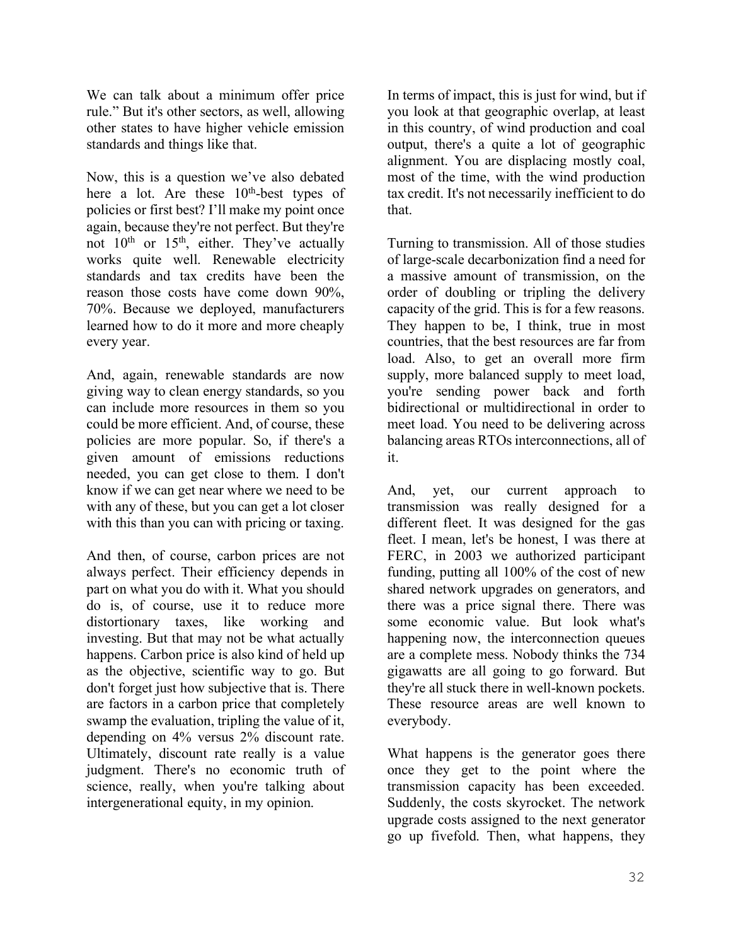We can talk about a minimum offer price rule." But it's other sectors, as well, allowing other states to have higher vehicle emission standards and things like that.

Now, this is a question we've also debated here a lot. Are these  $10<sup>th</sup>$ -best types of policies or first best? I'll make my point once again, because they're not perfect. But they're not  $10^{th}$  or  $15^{th}$ , either. They've actually works quite well. Renewable electricity standards and tax credits have been the reason those costs have come down 90%, 70%. Because we deployed, manufacturers learned how to do it more and more cheaply every year.

And, again, renewable standards are now giving way to clean energy standards, so you can include more resources in them so you could be more efficient. And, of course, these policies are more popular. So, if there's a given amount of emissions reductions needed, you can get close to them. I don't know if we can get near where we need to be with any of these, but you can get a lot closer with this than you can with pricing or taxing.

And then, of course, carbon prices are not always perfect. Their efficiency depends in part on what you do with it. What you should do is, of course, use it to reduce more distortionary taxes, like working and investing. But that may not be what actually happens. Carbon price is also kind of held up as the objective, scientific way to go. But don't forget just how subjective that is. There are factors in a carbon price that completely swamp the evaluation, tripling the value of it, depending on 4% versus 2% discount rate. Ultimately, discount rate really is a value judgment. There's no economic truth of science, really, when you're talking about intergenerational equity, in my opinion.

In terms of impact, this is just for wind, but if you look at that geographic overlap, at least in this country, of wind production and coal output, there's a quite a lot of geographic alignment. You are displacing mostly coal, most of the time, with the wind production tax credit. It's not necessarily inefficient to do that.

Turning to transmission. All of those studies of large-scale decarbonization find a need for a massive amount of transmission, on the order of doubling or tripling the delivery capacity of the grid. This is for a few reasons. They happen to be, I think, true in most countries, that the best resources are far from load. Also, to get an overall more firm supply, more balanced supply to meet load, you're sending power back and forth bidirectional or multidirectional in order to meet load. You need to be delivering across balancing areas RTOs interconnections, all of it.

And, yet, our current approach to transmission was really designed for a different fleet. It was designed for the gas fleet. I mean, let's be honest, I was there at FERC, in 2003 we authorized participant funding, putting all 100% of the cost of new shared network upgrades on generators, and there was a price signal there. There was some economic value. But look what's happening now, the interconnection queues are a complete mess. Nobody thinks the 734 gigawatts are all going to go forward. But they're all stuck there in well-known pockets. These resource areas are well known to everybody.

What happens is the generator goes there once they get to the point where the transmission capacity has been exceeded. Suddenly, the costs skyrocket. The network upgrade costs assigned to the next generator go up fivefold. Then, what happens, they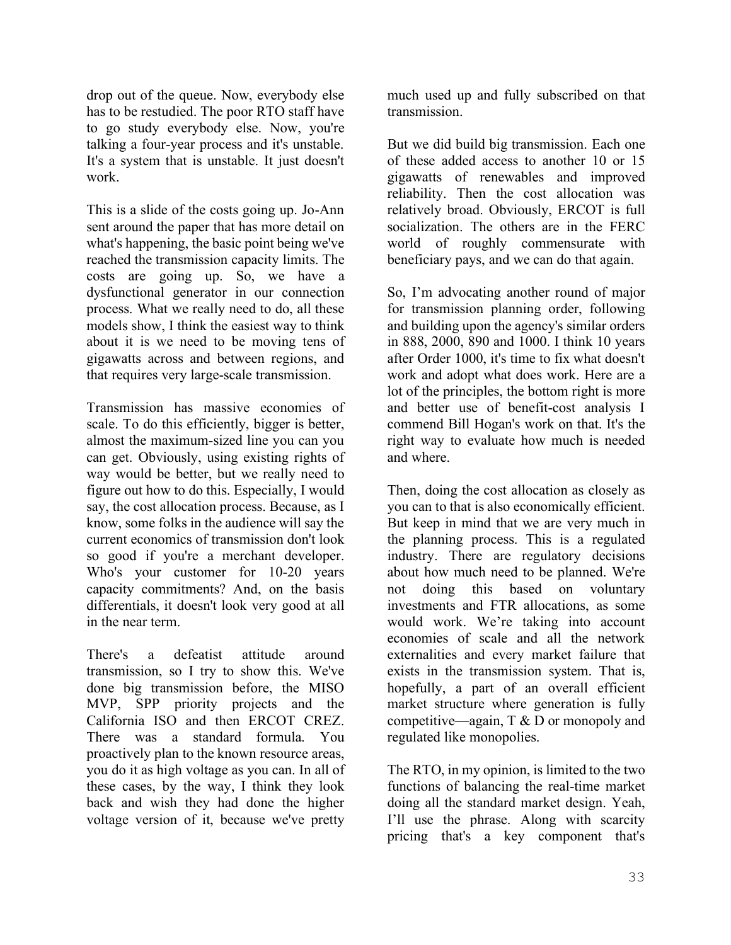drop out of the queue. Now, everybody else has to be restudied. The poor RTO staff have to go study everybody else. Now, you're talking a four-year process and it's unstable. It's a system that is unstable. It just doesn't work.

This is a slide of the costs going up. Jo-Ann sent around the paper that has more detail on what's happening, the basic point being we've reached the transmission capacity limits. The costs are going up. So, we have a dysfunctional generator in our connection process. What we really need to do, all these models show, I think the easiest way to think about it is we need to be moving tens of gigawatts across and between regions, and that requires very large-scale transmission.

Transmission has massive economies of scale. To do this efficiently, bigger is better, almost the maximum-sized line you can you can get. Obviously, using existing rights of way would be better, but we really need to figure out how to do this. Especially, I would say, the cost allocation process. Because, as I know, some folks in the audience will say the current economics of transmission don't look so good if you're a merchant developer. Who's your customer for 10-20 years capacity commitments? And, on the basis differentials, it doesn't look very good at all in the near term.

There's a defeatist attitude around transmission, so I try to show this. We've done big transmission before, the MISO MVP, SPP priority projects and the California ISO and then ERCOT CREZ. There was a standard formula. You proactively plan to the known resource areas, you do it as high voltage as you can. In all of these cases, by the way, I think they look back and wish they had done the higher voltage version of it, because we've pretty much used up and fully subscribed on that transmission.

But we did build big transmission. Each one of these added access to another 10 or 15 gigawatts of renewables and improved reliability. Then the cost allocation was relatively broad. Obviously, ERCOT is full socialization. The others are in the FERC world of roughly commensurate with beneficiary pays, and we can do that again.

So, I'm advocating another round of major for transmission planning order, following and building upon the agency's similar orders in 888, 2000, 890 and 1000. I think 10 years after Order 1000, it's time to fix what doesn't work and adopt what does work. Here are a lot of the principles, the bottom right is more and better use of benefit-cost analysis I commend Bill Hogan's work on that. It's the right way to evaluate how much is needed and where.

Then, doing the cost allocation as closely as you can to that is also economically efficient. But keep in mind that we are very much in the planning process. This is a regulated industry. There are regulatory decisions about how much need to be planned. We're not doing this based on voluntary investments and FTR allocations, as some would work. We're taking into account economies of scale and all the network externalities and every market failure that exists in the transmission system. That is, hopefully, a part of an overall efficient market structure where generation is fully competitive—again, T & D or monopoly and regulated like monopolies.

The RTO, in my opinion, is limited to the two functions of balancing the real-time market doing all the standard market design. Yeah, I'll use the phrase. Along with scarcity pricing that's a key component that's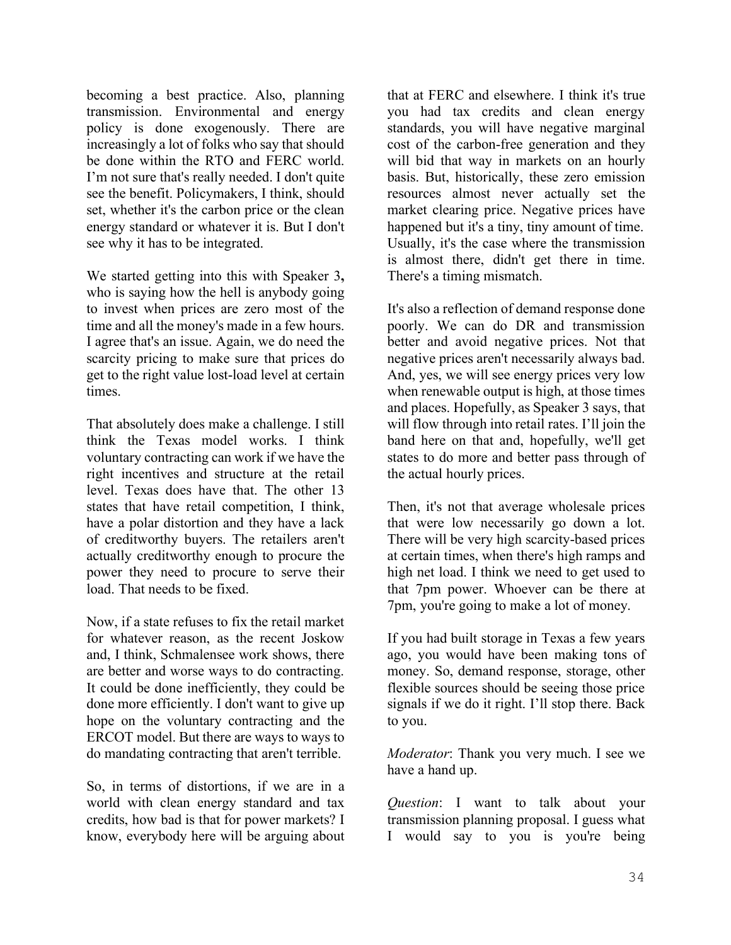becoming a best practice. Also, planning transmission. Environmental and energy policy is done exogenously. There are increasingly a lot of folks who say that should be done within the RTO and FERC world. I'm not sure that's really needed. I don't quite see the benefit. Policymakers, I think, should set, whether it's the carbon price or the clean energy standard or whatever it is. But I don't see why it has to be integrated.

We started getting into this with Speaker 3**,** who is saying how the hell is anybody going to invest when prices are zero most of the time and all the money's made in a few hours. I agree that's an issue. Again, we do need the scarcity pricing to make sure that prices do get to the right value lost-load level at certain times.

That absolutely does make a challenge. I still think the Texas model works. I think voluntary contracting can work if we have the right incentives and structure at the retail level. Texas does have that. The other 13 states that have retail competition, I think, have a polar distortion and they have a lack of creditworthy buyers. The retailers aren't actually creditworthy enough to procure the power they need to procure to serve their load. That needs to be fixed.

Now, if a state refuses to fix the retail market for whatever reason, as the recent Joskow and, I think, Schmalensee work shows, there are better and worse ways to do contracting. It could be done inefficiently, they could be done more efficiently. I don't want to give up hope on the voluntary contracting and the ERCOT model. But there are ways to ways to do mandating contracting that aren't terrible.

So, in terms of distortions, if we are in a world with clean energy standard and tax credits, how bad is that for power markets? I know, everybody here will be arguing about

that at FERC and elsewhere. I think it's true you had tax credits and clean energy standards, you will have negative marginal cost of the carbon-free generation and they will bid that way in markets on an hourly basis. But, historically, these zero emission resources almost never actually set the market clearing price. Negative prices have happened but it's a tiny, tiny amount of time. Usually, it's the case where the transmission is almost there, didn't get there in time. There's a timing mismatch.

It's also a reflection of demand response done poorly. We can do DR and transmission better and avoid negative prices. Not that negative prices aren't necessarily always bad. And, yes, we will see energy prices very low when renewable output is high, at those times and places. Hopefully, as Speaker 3 says, that will flow through into retail rates. I'll join the band here on that and, hopefully, we'll get states to do more and better pass through of the actual hourly prices.

Then, it's not that average wholesale prices that were low necessarily go down a lot. There will be very high scarcity-based prices at certain times, when there's high ramps and high net load. I think we need to get used to that 7pm power. Whoever can be there at 7pm, you're going to make a lot of money.

If you had built storage in Texas a few years ago, you would have been making tons of money. So, demand response, storage, other flexible sources should be seeing those price signals if we do it right. I'll stop there. Back to you.

*Moderator*: Thank you very much. I see we have a hand up.

*Question*: I want to talk about your transmission planning proposal. I guess what I would say to you is you're being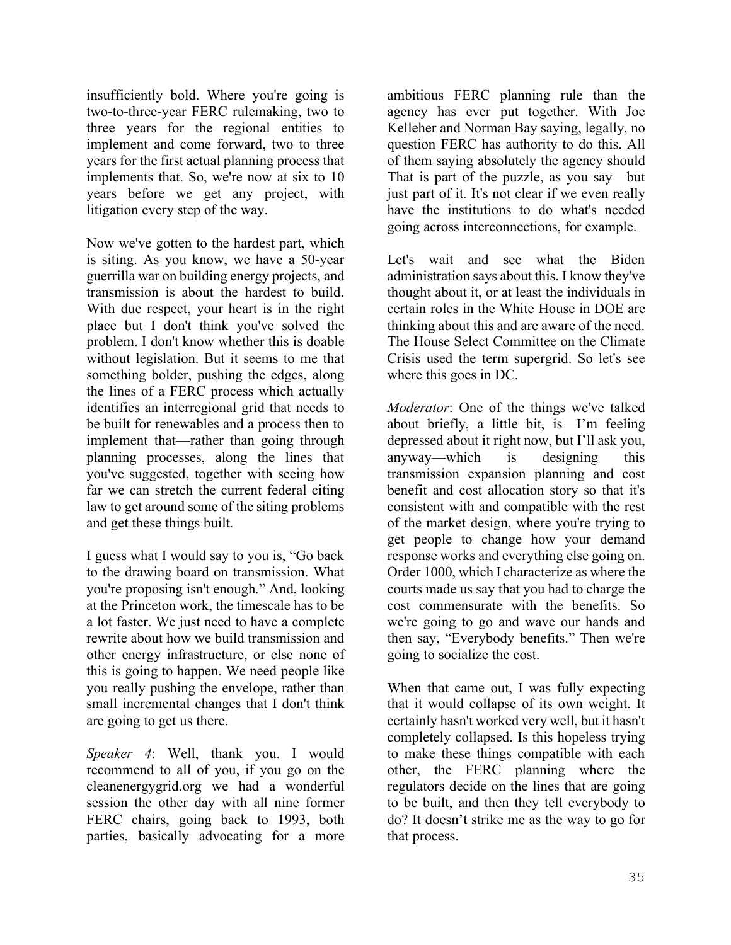insufficiently bold. Where you're going is two-to-three-year FERC rulemaking, two to three years for the regional entities to implement and come forward, two to three years for the first actual planning process that implements that. So, we're now at six to 10 years before we get any project, with litigation every step of the way.

Now we've gotten to the hardest part, which is siting. As you know, we have a 50-year guerrilla war on building energy projects, and transmission is about the hardest to build. With due respect, your heart is in the right place but I don't think you've solved the problem. I don't know whether this is doable without legislation. But it seems to me that something bolder, pushing the edges, along the lines of a FERC process which actually identifies an interregional grid that needs to be built for renewables and a process then to implement that—rather than going through planning processes, along the lines that you've suggested, together with seeing how far we can stretch the current federal citing law to get around some of the siting problems and get these things built.

I guess what I would say to you is, "Go back to the drawing board on transmission. What you're proposing isn't enough." And, looking at the Princeton work, the timescale has to be a lot faster. We just need to have a complete rewrite about how we build transmission and other energy infrastructure, or else none of this is going to happen. We need people like you really pushing the envelope, rather than small incremental changes that I don't think are going to get us there.

*Speaker 4*: Well, thank you. I would recommend to all of you, if you go on the cleanenergygrid.org we had a wonderful session the other day with all nine former FERC chairs, going back to 1993, both parties, basically advocating for a more ambitious FERC planning rule than the agency has ever put together. With Joe Kelleher and Norman Bay saying, legally, no question FERC has authority to do this. All of them saying absolutely the agency should That is part of the puzzle, as you say—but just part of it. It's not clear if we even really have the institutions to do what's needed going across interconnections, for example.

Let's wait and see what the Biden administration says about this. I know they've thought about it, or at least the individuals in certain roles in the White House in DOE are thinking about this and are aware of the need. The House Select Committee on the Climate Crisis used the term supergrid. So let's see where this goes in DC.

*Moderator*: One of the things we've talked about briefly, a little bit, is—I'm feeling depressed about it right now, but I'll ask you, anyway—which is designing this transmission expansion planning and cost benefit and cost allocation story so that it's consistent with and compatible with the rest of the market design, where you're trying to get people to change how your demand response works and everything else going on. Order 1000, which I characterize as where the courts made us say that you had to charge the cost commensurate with the benefits. So we're going to go and wave our hands and then say, "Everybody benefits." Then we're going to socialize the cost.

When that came out, I was fully expecting that it would collapse of its own weight. It certainly hasn't worked very well, but it hasn't completely collapsed. Is this hopeless trying to make these things compatible with each other, the FERC planning where the regulators decide on the lines that are going to be built, and then they tell everybody to do? It doesn't strike me as the way to go for that process.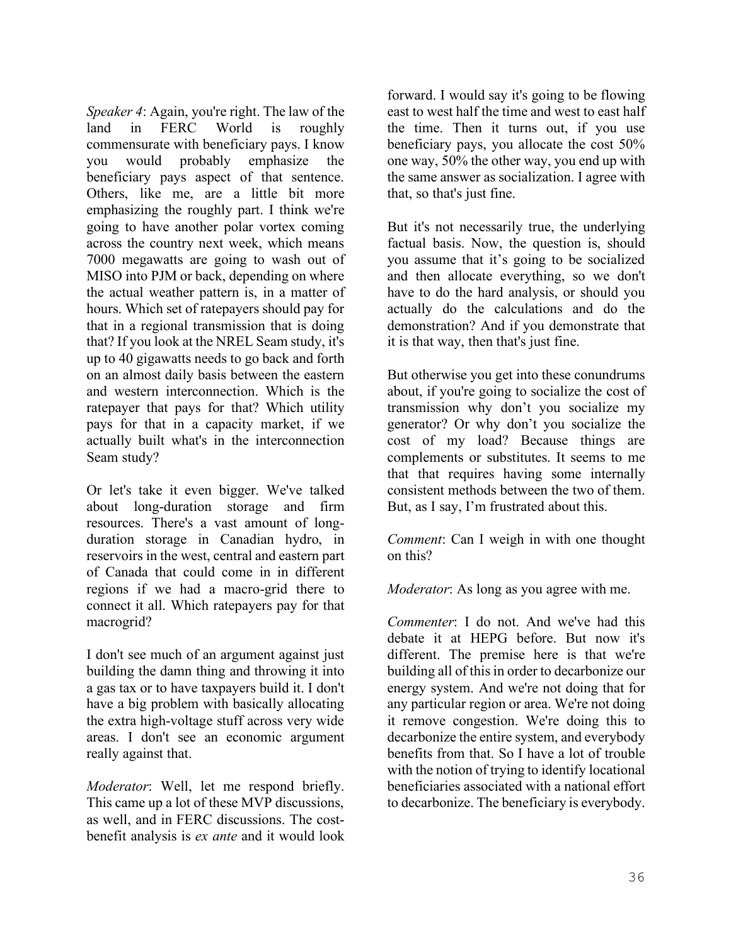*Speaker 4*: Again, you're right. The law of the land in FERC World is roughly commensurate with beneficiary pays. I know you would probably emphasize the beneficiary pays aspect of that sentence. Others, like me, are a little bit more emphasizing the roughly part. I think we're going to have another polar vortex coming across the country next week, which means 7000 megawatts are going to wash out of MISO into PJM or back, depending on where the actual weather pattern is, in a matter of hours. Which set of ratepayers should pay for that in a regional transmission that is doing that? If you look at the NREL Seam study, it's up to 40 gigawatts needs to go back and forth on an almost daily basis between the eastern and western interconnection. Which is the ratepayer that pays for that? Which utility pays for that in a capacity market, if we actually built what's in the interconnection Seam study?

Or let's take it even bigger. We've talked about long-duration storage and firm resources. There's a vast amount of longduration storage in Canadian hydro, in reservoirs in the west, central and eastern part of Canada that could come in in different regions if we had a macro-grid there to connect it all. Which ratepayers pay for that macrogrid?

I don't see much of an argument against just building the damn thing and throwing it into a gas tax or to have taxpayers build it. I don't have a big problem with basically allocating the extra high-voltage stuff across very wide areas. I don't see an economic argument really against that.

*Moderator*: Well, let me respond briefly. This came up a lot of these MVP discussions, as well, and in FERC discussions. The costbenefit analysis is *ex ante* and it would look forward. I would say it's going to be flowing east to west half the time and west to east half the time. Then it turns out, if you use beneficiary pays, you allocate the cost 50% one way, 50% the other way, you end up with the same answer as socialization. I agree with that, so that's just fine.

But it's not necessarily true, the underlying factual basis. Now, the question is, should you assume that it's going to be socialized and then allocate everything, so we don't have to do the hard analysis, or should you actually do the calculations and do the demonstration? And if you demonstrate that it is that way, then that's just fine.

But otherwise you get into these conundrums about, if you're going to socialize the cost of transmission why don't you socialize my generator? Or why don't you socialize the cost of my load? Because things are complements or substitutes. It seems to me that that requires having some internally consistent methods between the two of them. But, as I say, I'm frustrated about this.

*Comment*: Can I weigh in with one thought on this?

*Moderator*: As long as you agree with me.

*Commenter*: I do not. And we've had this debate it at HEPG before. But now it's different. The premise here is that we're building all of this in order to decarbonize our energy system. And we're not doing that for any particular region or area. We're not doing it remove congestion. We're doing this to decarbonize the entire system, and everybody benefits from that. So I have a lot of trouble with the notion of trying to identify locational beneficiaries associated with a national effort to decarbonize. The beneficiary is everybody.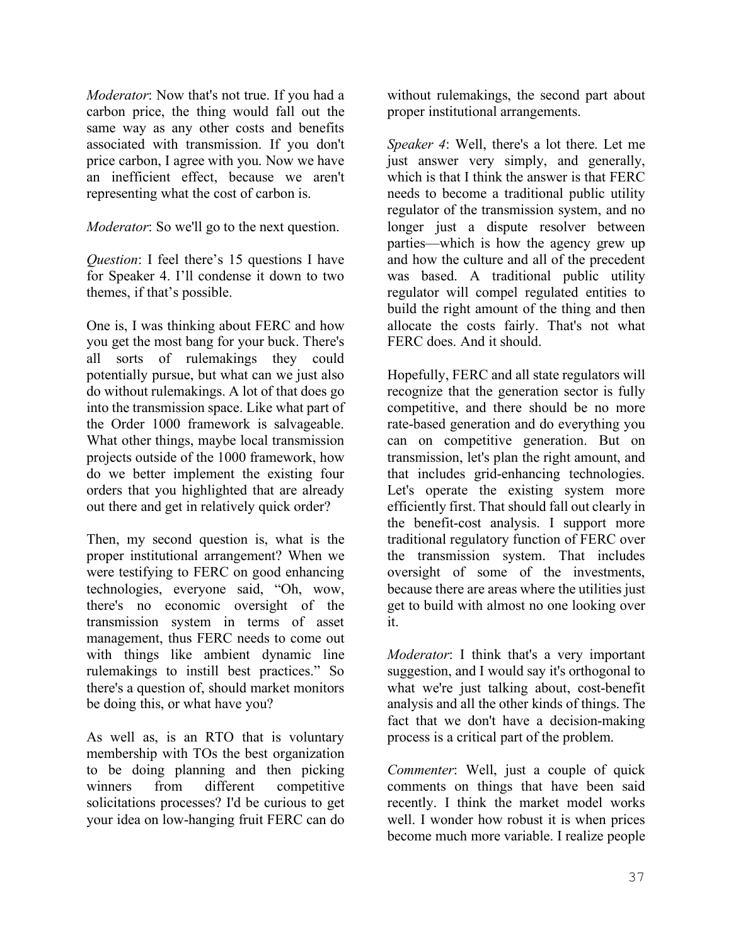*Moderator*: Now that's not true. If you had a carbon price, the thing would fall out the same way as any other costs and benefits associated with transmission. If you don't price carbon, I agree with you. Now we have an inefficient effect, because we aren't representing what the cost of carbon is.

*Moderator*: So we'll go to the next question.

*Question*: I feel there's 15 questions I have for Speaker 4. I'll condense it down to two themes, if that's possible.

One is, I was thinking about FERC and how you get the most bang for your buck. There's all sorts of rulemakings they could potentially pursue, but what can we just also do without rulemakings. A lot of that does go into the transmission space. Like what part of the Order 1000 framework is salvageable. What other things, maybe local transmission projects outside of the 1000 framework, how do we better implement the existing four orders that you highlighted that are already out there and get in relatively quick order?

Then, my second question is, what is the proper institutional arrangement? When we were testifying to FERC on good enhancing technologies, everyone said, "Oh, wow, there's no economic oversight of the transmission system in terms of asset management, thus FERC needs to come out with things like ambient dynamic line rulemakings to instill best practices." So there's a question of, should market monitors be doing this, or what have you?

As well as, is an RTO that is voluntary membership with TOs the best organization to be doing planning and then picking winners from different competitive solicitations processes? I'd be curious to get your idea on low-hanging fruit FERC can do

without rulemakings, the second part about proper institutional arrangements.

*Speaker 4*: Well, there's a lot there. Let me just answer very simply, and generally, which is that I think the answer is that FERC needs to become a traditional public utility regulator of the transmission system, and no longer just a dispute resolver between parties—which is how the agency grew up and how the culture and all of the precedent was based. A traditional public utility regulator will compel regulated entities to build the right amount of the thing and then allocate the costs fairly. That's not what FERC does. And it should.

Hopefully, FERC and all state regulators will recognize that the generation sector is fully competitive, and there should be no more rate-based generation and do everything you can on competitive generation. But on transmission, let's plan the right amount, and that includes grid-enhancing technologies. Let's operate the existing system more efficiently first. That should fall out clearly in the benefit-cost analysis. I support more traditional regulatory function of FERC over the transmission system. That includes oversight of some of the investments, because there are areas where the utilities just get to build with almost no one looking over it.

*Moderator*: I think that's a very important suggestion, and I would say it's orthogonal to what we're just talking about, cost-benefit analysis and all the other kinds of things. The fact that we don't have a decision-making process is a critical part of the problem.

*Commenter*: Well, just a couple of quick comments on things that have been said recently. I think the market model works well. I wonder how robust it is when prices become much more variable. I realize people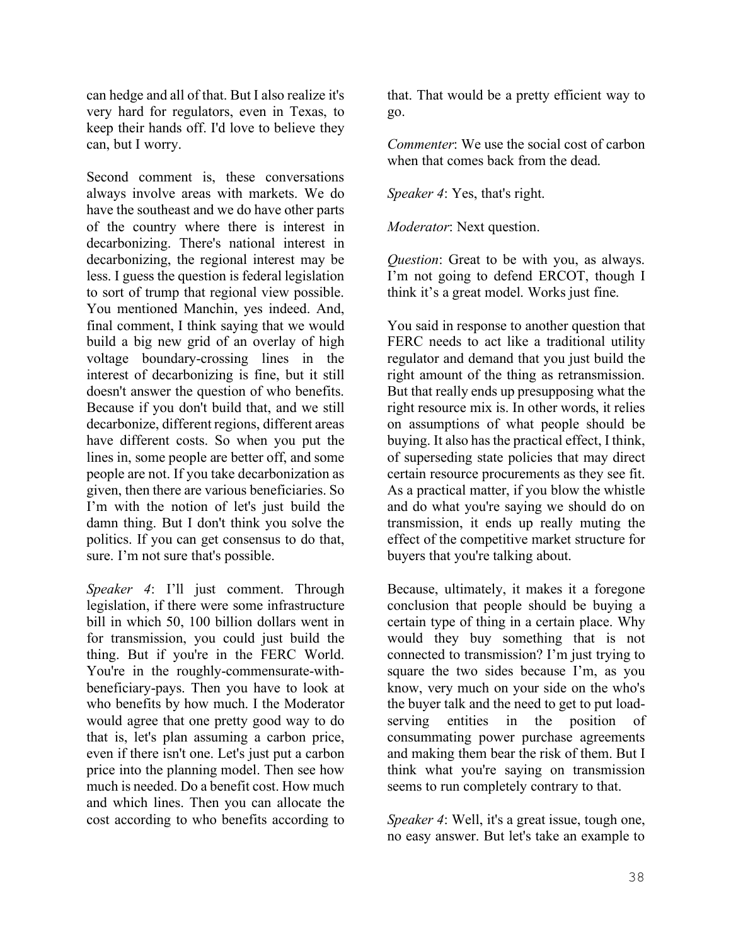can hedge and all of that. But I also realize it's very hard for regulators, even in Texas, to keep their hands off. I'd love to believe they can, but I worry.

Second comment is, these conversations always involve areas with markets. We do have the southeast and we do have other parts of the country where there is interest in decarbonizing. There's national interest in decarbonizing, the regional interest may be less. I guess the question is federal legislation to sort of trump that regional view possible. You mentioned Manchin, yes indeed. And, final comment, I think saying that we would build a big new grid of an overlay of high voltage boundary-crossing lines in the interest of decarbonizing is fine, but it still doesn't answer the question of who benefits. Because if you don't build that, and we still decarbonize, different regions, different areas have different costs. So when you put the lines in, some people are better off, and some people are not. If you take decarbonization as given, then there are various beneficiaries. So I'm with the notion of let's just build the damn thing. But I don't think you solve the politics. If you can get consensus to do that, sure. I'm not sure that's possible.

*Speaker 4*: I'll just comment. Through legislation, if there were some infrastructure bill in which 50, 100 billion dollars went in for transmission, you could just build the thing. But if you're in the FERC World. You're in the roughly-commensurate-withbeneficiary-pays. Then you have to look at who benefits by how much. I the Moderator would agree that one pretty good way to do that is, let's plan assuming a carbon price, even if there isn't one. Let's just put a carbon price into the planning model. Then see how much is needed. Do a benefit cost. How much and which lines. Then you can allocate the cost according to who benefits according to

that. That would be a pretty efficient way to go.

*Commenter*: We use the social cost of carbon when that comes back from the dead.

*Speaker 4*: Yes, that's right.

*Moderator*: Next question.

*Question*: Great to be with you, as always. I'm not going to defend ERCOT, though I think it's a great model. Works just fine.

You said in response to another question that FERC needs to act like a traditional utility regulator and demand that you just build the right amount of the thing as retransmission. But that really ends up presupposing what the right resource mix is. In other words, it relies on assumptions of what people should be buying. It also has the practical effect, I think, of superseding state policies that may direct certain resource procurements as they see fit. As a practical matter, if you blow the whistle and do what you're saying we should do on transmission, it ends up really muting the effect of the competitive market structure for buyers that you're talking about.

Because, ultimately, it makes it a foregone conclusion that people should be buying a certain type of thing in a certain place. Why would they buy something that is not connected to transmission? I'm just trying to square the two sides because I'm, as you know, very much on your side on the who's the buyer talk and the need to get to put loadserving entities in the position of consummating power purchase agreements and making them bear the risk of them. But I think what you're saying on transmission seems to run completely contrary to that.

*Speaker 4*: Well, it's a great issue, tough one, no easy answer. But let's take an example to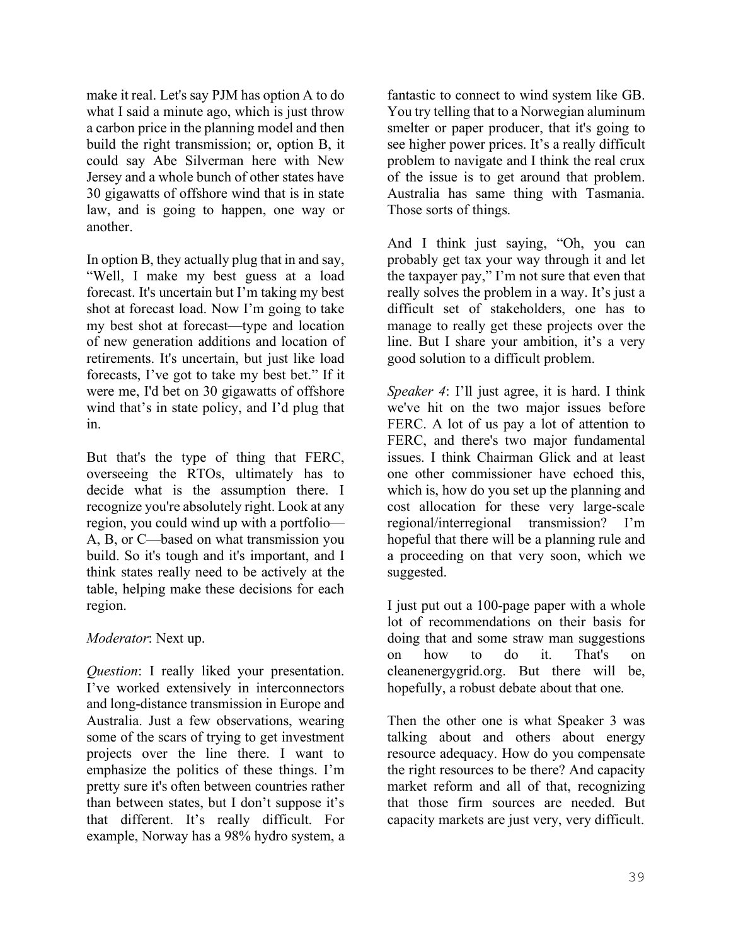make it real. Let's say PJM has option A to do what I said a minute ago, which is just throw a carbon price in the planning model and then build the right transmission; or, option B, it could say Abe Silverman here with New Jersey and a whole bunch of other states have 30 gigawatts of offshore wind that is in state law, and is going to happen, one way or another.

In option B, they actually plug that in and say, "Well, I make my best guess at a load forecast. It's uncertain but I'm taking my best shot at forecast load. Now I'm going to take my best shot at forecast—type and location of new generation additions and location of retirements. It's uncertain, but just like load forecasts, I've got to take my best bet." If it were me, I'd bet on 30 gigawatts of offshore wind that's in state policy, and I'd plug that in.

But that's the type of thing that FERC, overseeing the RTOs, ultimately has to decide what is the assumption there. I recognize you're absolutely right. Look at any region, you could wind up with a portfolio— A, B, or C—based on what transmission you build. So it's tough and it's important, and I think states really need to be actively at the table, helping make these decisions for each region.

### *Moderator*: Next up.

*Question*: I really liked your presentation. I've worked extensively in interconnectors and long-distance transmission in Europe and Australia. Just a few observations, wearing some of the scars of trying to get investment projects over the line there. I want to emphasize the politics of these things. I'm pretty sure it's often between countries rather than between states, but I don't suppose it's that different. It's really difficult. For example, Norway has a 98% hydro system, a fantastic to connect to wind system like GB. You try telling that to a Norwegian aluminum smelter or paper producer, that it's going to see higher power prices. It's a really difficult problem to navigate and I think the real crux of the issue is to get around that problem. Australia has same thing with Tasmania. Those sorts of things.

And I think just saying, "Oh, you can probably get tax your way through it and let the taxpayer pay," I'm not sure that even that really solves the problem in a way. It's just a difficult set of stakeholders, one has to manage to really get these projects over the line. But I share your ambition, it's a very good solution to a difficult problem.

*Speaker 4*: I'll just agree, it is hard. I think we've hit on the two major issues before FERC. A lot of us pay a lot of attention to FERC, and there's two major fundamental issues. I think Chairman Glick and at least one other commissioner have echoed this, which is, how do you set up the planning and cost allocation for these very large-scale regional/interregional transmission? I'm hopeful that there will be a planning rule and a proceeding on that very soon, which we suggested.

I just put out a 100-page paper with a whole lot of recommendations on their basis for doing that and some straw man suggestions on how to do it. That's on cleanenergygrid.org. But there will be, hopefully, a robust debate about that one.

Then the other one is what Speaker 3 was talking about and others about energy resource adequacy. How do you compensate the right resources to be there? And capacity market reform and all of that, recognizing that those firm sources are needed. But capacity markets are just very, very difficult.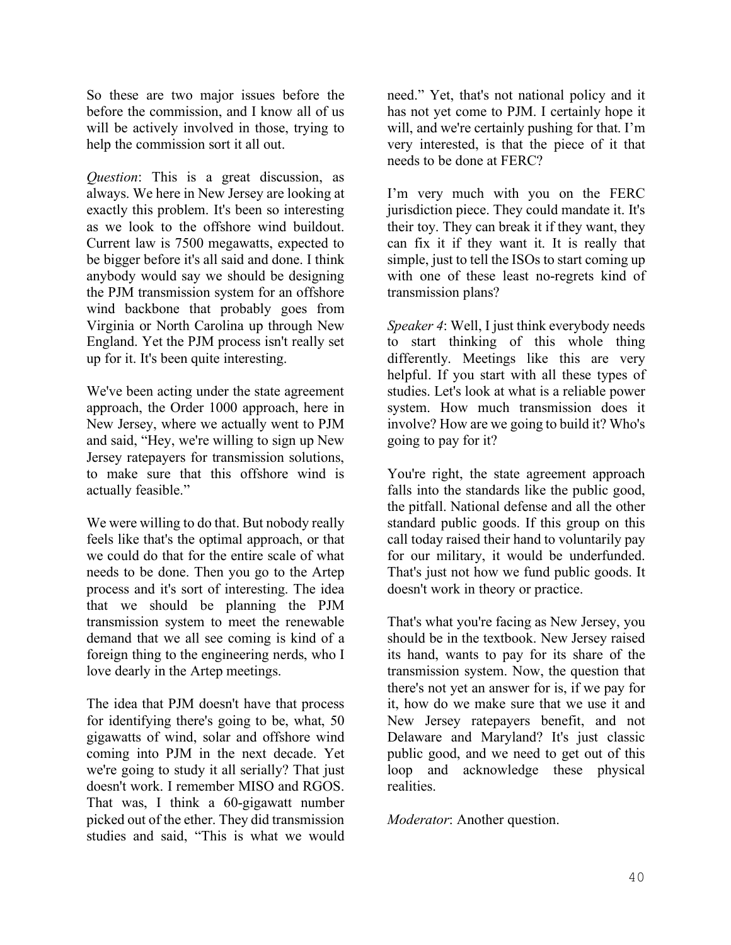So these are two major issues before the before the commission, and I know all of us will be actively involved in those, trying to help the commission sort it all out.

*Question*: This is a great discussion, as always. We here in New Jersey are looking at exactly this problem. It's been so interesting as we look to the offshore wind buildout. Current law is 7500 megawatts, expected to be bigger before it's all said and done. I think anybody would say we should be designing the PJM transmission system for an offshore wind backbone that probably goes from Virginia or North Carolina up through New England. Yet the PJM process isn't really set up for it. It's been quite interesting.

We've been acting under the state agreement approach, the Order 1000 approach, here in New Jersey, where we actually went to PJM and said, "Hey, we're willing to sign up New Jersey ratepayers for transmission solutions, to make sure that this offshore wind is actually feasible."

We were willing to do that. But nobody really feels like that's the optimal approach, or that we could do that for the entire scale of what needs to be done. Then you go to the Artep process and it's sort of interesting. The idea that we should be planning the PJM transmission system to meet the renewable demand that we all see coming is kind of a foreign thing to the engineering nerds, who I love dearly in the Artep meetings.

The idea that PJM doesn't have that process for identifying there's going to be, what, 50 gigawatts of wind, solar and offshore wind coming into PJM in the next decade. Yet we're going to study it all serially? That just doesn't work. I remember MISO and RGOS. That was, I think a 60-gigawatt number picked out of the ether. They did transmission studies and said, "This is what we would need." Yet, that's not national policy and it has not yet come to PJM. I certainly hope it will, and we're certainly pushing for that. I'm very interested, is that the piece of it that needs to be done at FERC?

I'm very much with you on the FERC jurisdiction piece. They could mandate it. It's their toy. They can break it if they want, they can fix it if they want it. It is really that simple, just to tell the ISOs to start coming up with one of these least no-regrets kind of transmission plans?

*Speaker 4*: Well, I just think everybody needs to start thinking of this whole thing differently. Meetings like this are very helpful. If you start with all these types of studies. Let's look at what is a reliable power system. How much transmission does it involve? How are we going to build it? Who's going to pay for it?

You're right, the state agreement approach falls into the standards like the public good, the pitfall. National defense and all the other standard public goods. If this group on this call today raised their hand to voluntarily pay for our military, it would be underfunded. That's just not how we fund public goods. It doesn't work in theory or practice.

That's what you're facing as New Jersey, you should be in the textbook. New Jersey raised its hand, wants to pay for its share of the transmission system. Now, the question that there's not yet an answer for is, if we pay for it, how do we make sure that we use it and New Jersey ratepayers benefit, and not Delaware and Maryland? It's just classic public good, and we need to get out of this loop and acknowledge these physical realities.

*Moderator*: Another question.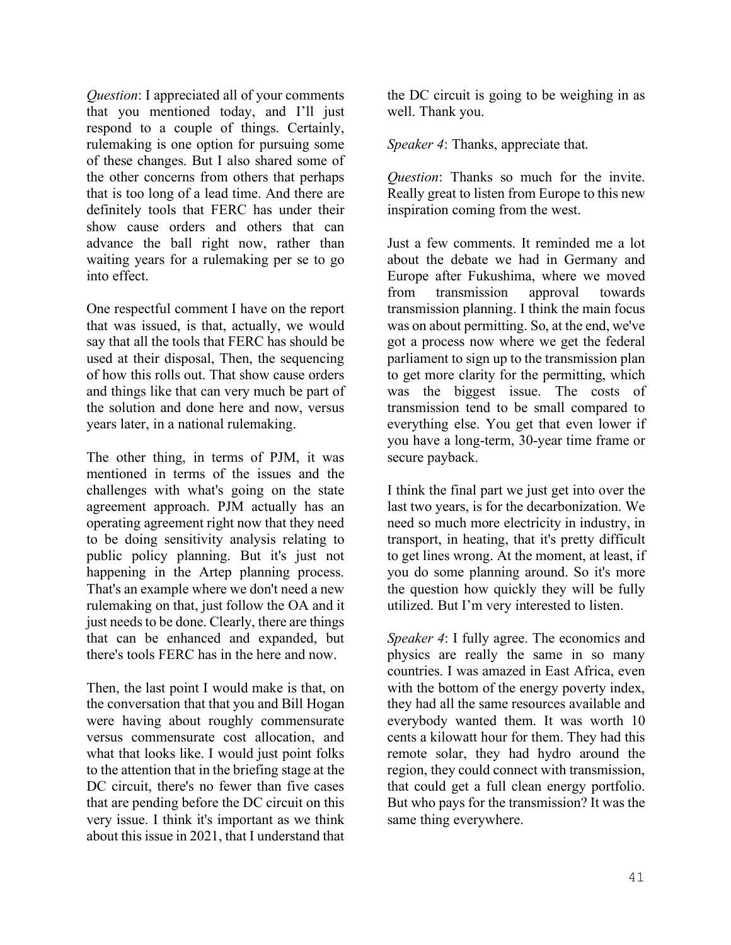*Question*: I appreciated all of your comments that you mentioned today, and I'll just respond to a couple of things. Certainly, rulemaking is one option for pursuing some of these changes. But I also shared some of the other concerns from others that perhaps that is too long of a lead time. And there are definitely tools that FERC has under their show cause orders and others that can advance the ball right now, rather than waiting years for a rulemaking per se to go into effect.

One respectful comment I have on the report that was issued, is that, actually, we would say that all the tools that FERC has should be used at their disposal, Then, the sequencing of how this rolls out. That show cause orders and things like that can very much be part of the solution and done here and now, versus years later, in a national rulemaking.

The other thing, in terms of PJM, it was mentioned in terms of the issues and the challenges with what's going on the state agreement approach. PJM actually has an operating agreement right now that they need to be doing sensitivity analysis relating to public policy planning. But it's just not happening in the Artep planning process. That's an example where we don't need a new rulemaking on that, just follow the OA and it just needs to be done. Clearly, there are things that can be enhanced and expanded, but there's tools FERC has in the here and now.

Then, the last point I would make is that, on the conversation that that you and Bill Hogan were having about roughly commensurate versus commensurate cost allocation, and what that looks like. I would just point folks to the attention that in the briefing stage at the DC circuit, there's no fewer than five cases that are pending before the DC circuit on this very issue. I think it's important as we think about this issue in 2021, that I understand that the DC circuit is going to be weighing in as well. Thank you.

*Speaker 4*: Thanks, appreciate that.

*Question*: Thanks so much for the invite. Really great to listen from Europe to this new inspiration coming from the west.

Just a few comments. It reminded me a lot about the debate we had in Germany and Europe after Fukushima, where we moved from transmission approval towards transmission planning. I think the main focus was on about permitting. So, at the end, we've got a process now where we get the federal parliament to sign up to the transmission plan to get more clarity for the permitting, which was the biggest issue. The costs of transmission tend to be small compared to everything else. You get that even lower if you have a long-term, 30-year time frame or secure payback.

I think the final part we just get into over the last two years, is for the decarbonization. We need so much more electricity in industry, in transport, in heating, that it's pretty difficult to get lines wrong. At the moment, at least, if you do some planning around. So it's more the question how quickly they will be fully utilized. But I'm very interested to listen.

*Speaker 4*: I fully agree. The economics and physics are really the same in so many countries. I was amazed in East Africa, even with the bottom of the energy poverty index, they had all the same resources available and everybody wanted them. It was worth 10 cents a kilowatt hour for them. They had this remote solar, they had hydro around the region, they could connect with transmission, that could get a full clean energy portfolio. But who pays for the transmission? It was the same thing everywhere.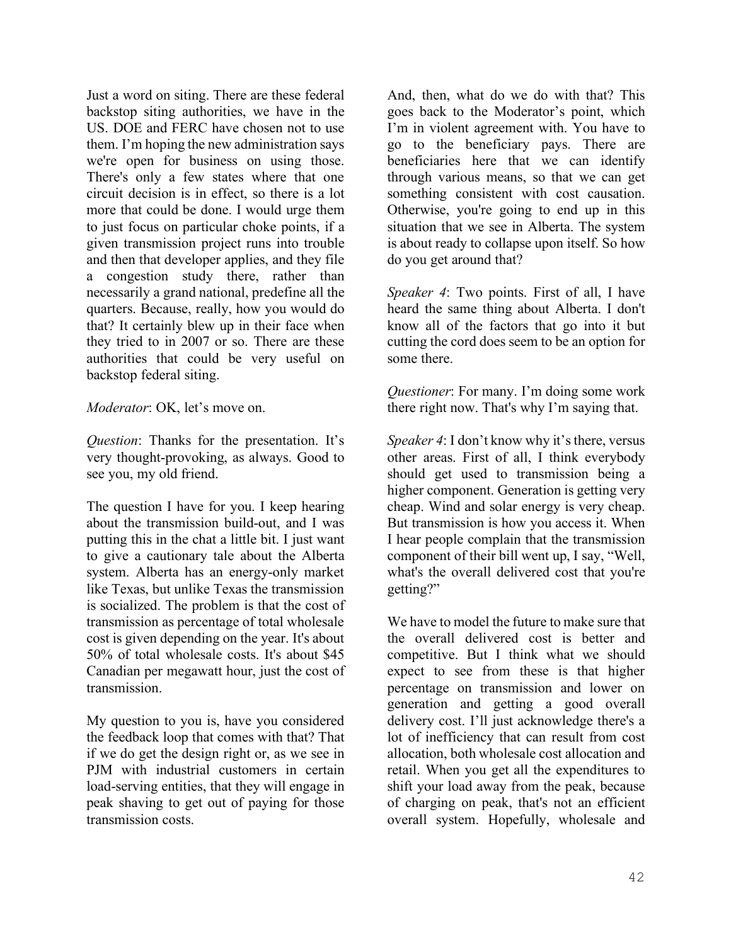Just a word on siting. There are these federal backstop siting authorities, we have in the US. DOE and FERC have chosen not to use them. I'm hoping the new administration says we're open for business on using those. There's only a few states where that one circuit decision is in effect, so there is a lot more that could be done. I would urge them to just focus on particular choke points, if a given transmission project runs into trouble and then that developer applies, and they file a congestion study there, rather than necessarily a grand national, predefine all the quarters. Because, really, how you would do that? It certainly blew up in their face when they tried to in 2007 or so. There are these authorities that could be very useful on backstop federal siting.

*Moderator*: OK, let's move on.

*Question*: Thanks for the presentation. It's very thought-provoking, as always. Good to see you, my old friend.

The question I have for you. I keep hearing about the transmission build-out, and I was putting this in the chat a little bit. I just want to give a cautionary tale about the Alberta system. Alberta has an energy-only market like Texas, but unlike Texas the transmission is socialized. The problem is that the cost of transmission as percentage of total wholesale cost is given depending on the year. It's about 50% of total wholesale costs. It's about \$45 Canadian per megawatt hour, just the cost of transmission.

My question to you is, have you considered the feedback loop that comes with that? That if we do get the design right or, as we see in PJM with industrial customers in certain load-serving entities, that they will engage in peak shaving to get out of paying for those transmission costs.

And, then, what do we do with that? This goes back to the Moderator's point, which I'm in violent agreement with. You have to go to the beneficiary pays. There are beneficiaries here that we can identify through various means, so that we can get something consistent with cost causation. Otherwise, you're going to end up in this situation that we see in Alberta. The system is about ready to collapse upon itself. So how do you get around that?

*Speaker 4*: Two points. First of all, I have heard the same thing about Alberta. I don't know all of the factors that go into it but cutting the cord does seem to be an option for some there.

*Questioner*: For many. I'm doing some work there right now. That's why I'm saying that.

*Speaker 4*: I don't know why it's there, versus other areas. First of all, I think everybody should get used to transmission being a higher component. Generation is getting very cheap. Wind and solar energy is very cheap. But transmission is how you access it. When I hear people complain that the transmission component of their bill went up, I say, "Well, what's the overall delivered cost that you're getting?"

We have to model the future to make sure that the overall delivered cost is better and competitive. But I think what we should expect to see from these is that higher percentage on transmission and lower on generation and getting a good overall delivery cost. I'll just acknowledge there's a lot of inefficiency that can result from cost allocation, both wholesale cost allocation and retail. When you get all the expenditures to shift your load away from the peak, because of charging on peak, that's not an efficient overall system. Hopefully, wholesale and